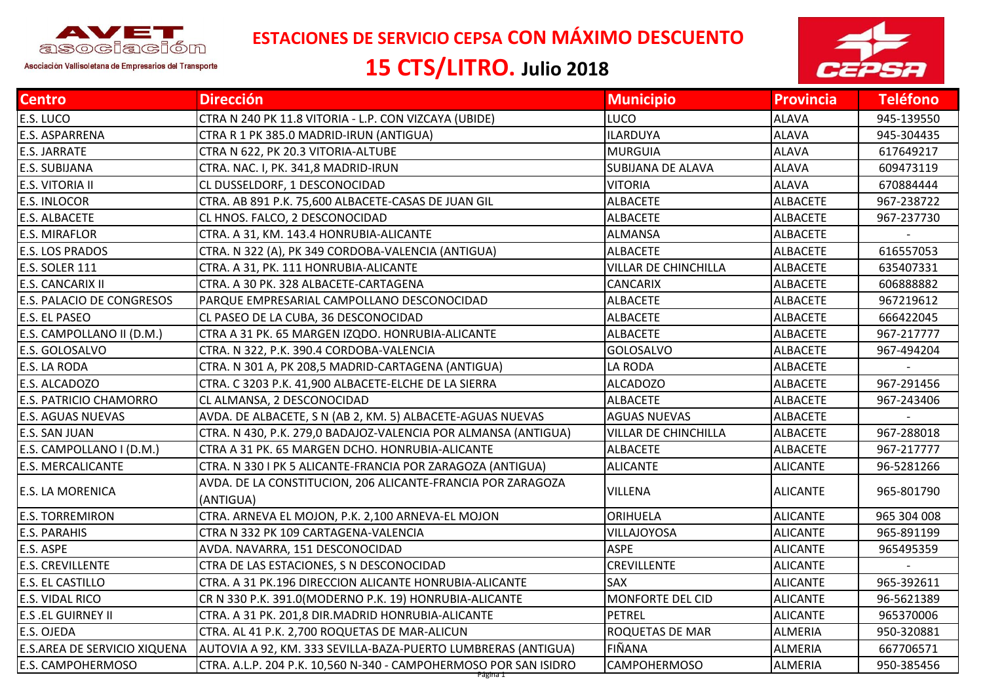

 **ESTACIONES DE SERVICIO CEPSA CON MÁXIMO DESCUENTO**

## **15 CTS/LITRO. Julio 2018**



| <b>Centro</b>                       | <b>Dirección</b>                                                         | <b>Municipio</b>            | <b>Provincia</b> | <b>Teléfono</b> |
|-------------------------------------|--------------------------------------------------------------------------|-----------------------------|------------------|-----------------|
| E.S. LUCO                           | CTRA N 240 PK 11.8 VITORIA - L.P. CON VIZCAYA (UBIDE)                    | LUCO                        | <b>ALAVA</b>     | 945-139550      |
| E.S. ASPARRENA                      | CTRA R 1 PK 385.0 MADRID-IRUN (ANTIGUA)                                  | <b>ILARDUYA</b>             | <b>ALAVA</b>     | 945-304435      |
| <b>E.S. JARRATE</b>                 | CTRA N 622, PK 20.3 VITORIA-ALTUBE                                       | <b>MURGUIA</b>              | <b>ALAVA</b>     | 617649217       |
| E.S. SUBIJANA                       | CTRA. NAC. I, PK. 341,8 MADRID-IRUN                                      | <b>SUBIJANA DE ALAVA</b>    | <b>ALAVA</b>     | 609473119       |
| <b>E.S. VITORIA II</b>              | CL DUSSELDORF, 1 DESCONOCIDAD                                            | <b>VITORIA</b>              | <b>ALAVA</b>     | 670884444       |
| <b>E.S. INLOCOR</b>                 | CTRA. AB 891 P.K. 75,600 ALBACETE-CASAS DE JUAN GIL                      | <b>ALBACETE</b>             | <b>ALBACETE</b>  | 967-238722      |
| E.S. ALBACETE                       | CL HNOS. FALCO, 2 DESCONOCIDAD                                           | <b>ALBACETE</b>             | <b>ALBACETE</b>  | 967-237730      |
| <b>E.S. MIRAFLOR</b>                | CTRA. A 31, KM. 143.4 HONRUBIA-ALICANTE                                  | <b>ALMANSA</b>              | <b>ALBACETE</b>  |                 |
| <b>E.S. LOS PRADOS</b>              | CTRA. N 322 (A), PK 349 CORDOBA-VALENCIA (ANTIGUA)                       | <b>ALBACETE</b>             | <b>ALBACETE</b>  | 616557053       |
| E.S. SOLER 111                      | CTRA. A 31, PK. 111 HONRUBIA-ALICANTE                                    | <b>VILLAR DE CHINCHILLA</b> | <b>ALBACETE</b>  | 635407331       |
| <b>E.S. CANCARIX II</b>             | CTRA. A 30 PK. 328 ALBACETE-CARTAGENA                                    | CANCARIX                    | <b>ALBACETE</b>  | 606888882       |
| <b>E.S. PALACIO DE CONGRESOS</b>    | PARQUE EMPRESARIAL CAMPOLLANO DESCONOCIDAD                               | <b>ALBACETE</b>             | <b>ALBACETE</b>  | 967219612       |
| E.S. EL PASEO                       | CL PASEO DE LA CUBA, 36 DESCONOCIDAD                                     | <b>ALBACETE</b>             | <b>ALBACETE</b>  | 666422045       |
| E.S. CAMPOLLANO II (D.M.)           | CTRA A 31 PK. 65 MARGEN IZQDO. HONRUBIA-ALICANTE                         | <b>ALBACETE</b>             | <b>ALBACETE</b>  | 967-217777      |
| E.S. GOLOSALVO                      | CTRA. N 322, P.K. 390.4 CORDOBA-VALENCIA                                 | <b>GOLOSALVO</b>            | <b>ALBACETE</b>  | 967-494204      |
| E.S. LA RODA                        | CTRA. N 301 A, PK 208,5 MADRID-CARTAGENA (ANTIGUA)                       | LA RODA                     | <b>ALBACETE</b>  |                 |
| E.S. ALCADOZO                       | CTRA. C 3203 P.K. 41,900 ALBACETE-ELCHE DE LA SIERRA                     | <b>ALCADOZO</b>             | <b>ALBACETE</b>  | 967-291456      |
| <b>E.S. PATRICIO CHAMORRO</b>       | CL ALMANSA, 2 DESCONOCIDAD                                               | <b>ALBACETE</b>             | <b>ALBACETE</b>  | 967-243406      |
| <b>E.S. AGUAS NUEVAS</b>            | AVDA. DE ALBACETE, S N (AB 2, KM. 5) ALBACETE-AGUAS NUEVAS               | <b>AGUAS NUEVAS</b>         | <b>ALBACETE</b>  |                 |
| E.S. SAN JUAN                       | CTRA. N 430, P.K. 279,0 BADAJOZ-VALENCIA POR ALMANSA (ANTIGUA)           | <b>VILLAR DE CHINCHILLA</b> | <b>ALBACETE</b>  | 967-288018      |
| E.S. CAMPOLLANO I (D.M.)            | CTRA A 31 PK. 65 MARGEN DCHO. HONRUBIA-ALICANTE                          | <b>ALBACETE</b>             | <b>ALBACETE</b>  | 967-217777      |
| <b>E.S. MERCALICANTE</b>            | CTRA. N 330 I PK 5 ALICANTE-FRANCIA POR ZARAGOZA (ANTIGUA)               | <b>ALICANTE</b>             | <b>ALICANTE</b>  | 96-5281266      |
| E.S. LA MORENICA                    | AVDA. DE LA CONSTITUCION, 206 ALICANTE-FRANCIA POR ZARAGOZA<br>(ANTIGUA) | <b>VILLENA</b>              | <b>ALICANTE</b>  | 965-801790      |
| <b>E.S. TORREMIRON</b>              | CTRA. ARNEVA EL MOJON, P.K. 2,100 ARNEVA-EL MOJON                        | ORIHUELA                    | <b>ALICANTE</b>  | 965 304 008     |
| <b>E.S. PARAHIS</b>                 | CTRA N 332 PK 109 CARTAGENA-VALENCIA                                     | <b>VILLAJOYOSA</b>          | <b>ALICANTE</b>  | 965-891199      |
| E.S. ASPE                           | AVDA. NAVARRA, 151 DESCONOCIDAD                                          | <b>ASPE</b>                 | <b>ALICANTE</b>  | 965495359       |
| <b>E.S. CREVILLENTE</b>             | CTRA DE LAS ESTACIONES, S N DESCONOCIDAD                                 | CREVILLENTE                 | <b>ALICANTE</b>  |                 |
| <b>E.S. EL CASTILLO</b>             | CTRA. A 31 PK.196 DIRECCION ALICANTE HONRUBIA-ALICANTE                   | SAX                         | <b>ALICANTE</b>  | 965-392611      |
| E.S. VIDAL RICO                     | CR N 330 P.K. 391.0(MODERNO P.K. 19) HONRUBIA-ALICANTE                   | <b>MONFORTE DEL CID</b>     | <b>ALICANTE</b>  | 96-5621389      |
| <b>E.S .EL GUIRNEY II</b>           | CTRA. A 31 PK. 201,8 DIR.MADRID HONRUBIA-ALICANTE                        | <b>PETREL</b>               | <b>ALICANTE</b>  | 965370006       |
| E.S. OJEDA                          | CTRA. AL 41 P.K. 2,700 ROQUETAS DE MAR-ALICUN                            | <b>ROQUETAS DE MAR</b>      | <b>ALMERIA</b>   | 950-320881      |
| <b>E.S.AREA DE SERVICIO XIQUENA</b> | AUTOVIA A 92, KM. 333 SEVILLA-BAZA-PUERTO LUMBRERAS (ANTIGUA)            | FIÑANA                      | <b>ALMERIA</b>   | 667706571       |
| <b>E.S. CAMPOHERMOSO</b>            | CTRA. A.L.P. 204 P.K. 10,560 N-340 - CAMPOHERMOSO POR SAN ISIDRO         | <b>CAMPOHERMOSO</b>         | ALMERIA          | 950-385456      |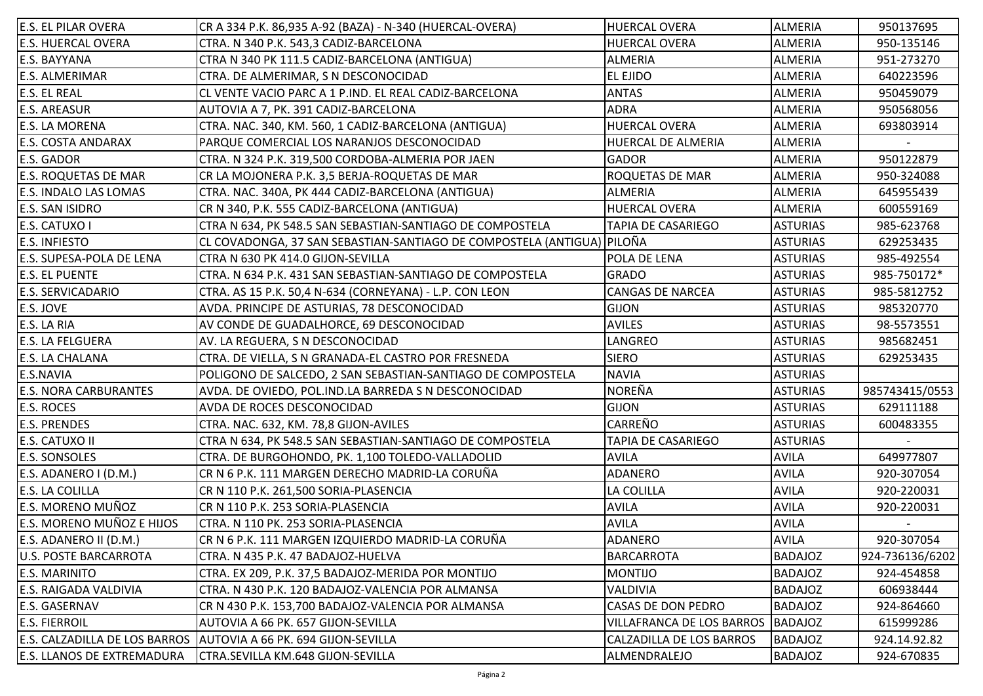| <b>E.S. EL PILAR OVERA</b>        | CR A 334 P.K. 86,935 A-92 (BAZA) - N-340 (HUERCAL-OVERA)               | HUERCAL OVERA                   | <b>ALMERIA</b>  | 950137695       |
|-----------------------------------|------------------------------------------------------------------------|---------------------------------|-----------------|-----------------|
| <b>E.S. HUERCAL OVERA</b>         | CTRA. N 340 P.K. 543,3 CADIZ-BARCELONA                                 | <b>HUERCAL OVERA</b>            | <b>ALMERIA</b>  | 950-135146      |
| E.S. BAYYANA                      | CTRA N 340 PK 111.5 CADIZ-BARCELONA (ANTIGUA)                          | <b>ALMERIA</b>                  | <b>ALMERIA</b>  | 951-273270      |
| <b>E.S. ALMERIMAR</b>             | CTRA. DE ALMERIMAR, S N DESCONOCIDAD                                   | <b>EL EJIDO</b>                 | <b>ALMERIA</b>  | 640223596       |
| E.S. EL REAL                      | CL VENTE VACIO PARC A 1 P.IND. EL REAL CADIZ-BARCELONA                 | <b>ANTAS</b>                    | <b>ALMERIA</b>  | 950459079       |
| <b>E.S. AREASUR</b>               | AUTOVIA A 7, PK. 391 CADIZ-BARCELONA                                   | <b>ADRA</b>                     | <b>ALMERIA</b>  | 950568056       |
| <b>E.S. LA MORENA</b>             | CTRA. NAC. 340, KM. 560, 1 CADIZ-BARCELONA (ANTIGUA)                   | <b>HUERCAL OVERA</b>            | <b>ALMERIA</b>  | 693803914       |
| <b>E.S. COSTA ANDARAX</b>         | PARQUE COMERCIAL LOS NARANJOS DESCONOCIDAD                             | HUERCAL DE ALMERIA              | ALMERIA         |                 |
| E.S. GADOR                        | CTRA. N 324 P.K. 319,500 CORDOBA-ALMERIA POR JAEN                      | <b>GADOR</b>                    | <b>ALMERIA</b>  | 950122879       |
| <b>E.S. ROQUETAS DE MAR</b>       | CR LA MOJONERA P.K. 3,5 BERJA-ROQUETAS DE MAR                          | <b>ROQUETAS DE MAR</b>          | <b>ALMERIA</b>  | 950-324088      |
| <b>E.S. INDALO LAS LOMAS</b>      | CTRA. NAC. 340A, PK 444 CADIZ-BARCELONA (ANTIGUA)                      | <b>ALMERIA</b>                  | <b>ALMERIA</b>  | 645955439       |
| E.S. SAN ISIDRO                   | CR N 340, P.K. 555 CADIZ-BARCELONA (ANTIGUA)                           | <b>HUERCAL OVERA</b>            | <b>ALMERIA</b>  | 600559169       |
| E.S. CATUXO I                     | CTRA N 634, PK 548.5 SAN SEBASTIAN-SANTIAGO DE COMPOSTELA              | TAPIA DE CASARIEGO              | <b>ASTURIAS</b> | 985-623768      |
| <b>E.S. INFIESTO</b>              | CL COVADONGA, 37 SAN SEBASTIAN-SANTIAGO DE COMPOSTELA (ANTIGUA) PILOÑA |                                 | <b>ASTURIAS</b> | 629253435       |
| E.S. SUPESA-POLA DE LENA          | CTRA N 630 PK 414.0 GIJON-SEVILLA                                      | POLA DE LENA                    | <b>ASTURIAS</b> | 985-492554      |
| <b>E.S. EL PUENTE</b>             | CTRA. N 634 P.K. 431 SAN SEBASTIAN-SANTIAGO DE COMPOSTELA              | <b>GRADO</b>                    | <b>ASTURIAS</b> | 985-750172*     |
| <b>E.S. SERVICADARIO</b>          | CTRA. AS 15 P.K. 50,4 N-634 (CORNEYANA) - L.P. CON LEON                | <b>CANGAS DE NARCEA</b>         | <b>ASTURIAS</b> | 985-5812752     |
| E.S. JOVE                         | AVDA. PRINCIPE DE ASTURIAS, 78 DESCONOCIDAD                            | <b>GIJON</b>                    | <b>ASTURIAS</b> | 985320770       |
| E.S. LA RIA                       | AV CONDE DE GUADALHORCE, 69 DESCONOCIDAD                               | <b>AVILES</b>                   | <b>ASTURIAS</b> | 98-5573551      |
| <b>E.S. LA FELGUERA</b>           | AV. LA REGUERA, S N DESCONOCIDAD                                       | LANGREO                         | <b>ASTURIAS</b> | 985682451       |
| <b>E.S. LA CHALANA</b>            | CTRA. DE VIELLA, S N GRANADA-EL CASTRO POR FRESNEDA                    | <b>SIERO</b>                    | <b>ASTURIAS</b> | 629253435       |
| E.S.NAVIA                         | POLIGONO DE SALCEDO, 2 SAN SEBASTIAN-SANTIAGO DE COMPOSTELA            | <b>NAVIA</b>                    | <b>ASTURIAS</b> |                 |
| <b>E.S. NORA CARBURANTES</b>      | AVDA. DE OVIEDO, POL.IND.LA BARREDA S N DESCONOCIDAD                   | NOREÑA                          | <b>ASTURIAS</b> | 985743415/0553  |
| <b>E.S. ROCES</b>                 | AVDA DE ROCES DESCONOCIDAD                                             | <b>GIJON</b>                    | <b>ASTURIAS</b> | 629111188       |
| <b>E.S. PRENDES</b>               | CTRA. NAC. 632, KM. 78,8 GIJON-AVILES                                  | <b>CARREÑO</b>                  | <b>ASTURIAS</b> | 600483355       |
| E.S. CATUXO II                    | CTRA N 634, PK 548.5 SAN SEBASTIAN-SANTIAGO DE COMPOSTELA              | TAPIA DE CASARIEGO              | <b>ASTURIAS</b> |                 |
| <b>E.S. SONSOLES</b>              | CTRA. DE BURGOHONDO, PK. 1,100 TOLEDO-VALLADOLID                       | <b>AVILA</b>                    | <b>AVILA</b>    | 649977807       |
| E.S. ADANERO I (D.M.)             | CR N 6 P.K. 111 MARGEN DERECHO MADRID-LA CORUÑA                        | <b>ADANERO</b>                  | <b>AVILA</b>    | 920-307054      |
| <b>E.S. LA COLILLA</b>            | CR N 110 P.K. 261,500 SORIA-PLASENCIA                                  | LA COLILLA                      | <b>AVILA</b>    | 920-220031      |
| <b>E.S. MORENO MUÑOZ</b>          | CR N 110 P.K. 253 SORIA-PLASENCIA                                      | <b>AVILA</b>                    | <b>AVILA</b>    | 920-220031      |
| E.S. MORENO MUÑOZ E HIJOS         | CTRA. N 110 PK. 253 SORIA-PLASENCIA                                    | <b>AVILA</b>                    | <b>AVILA</b>    |                 |
| E.S. ADANERO II (D.M.)            | CR N 6 P.K. 111 MARGEN IZQUIERDO MADRID-LA CORUÑA                      | ADANERO                         | <b>AVILA</b>    | 920-307054      |
| JU.S. POSTE BARCARROTA            | CTRA. N 435 P.K. 47 BADAJOZ-HUELVA                                     | <b>BARCARROTA</b>               | <b>BADAJOZ</b>  | 924-736136/6202 |
| E.S. MARINITO                     | CTRA. EX 209, P.K. 37,5 BADAJOZ-MERIDA POR MONTIJO                     | <b>MONTIJO</b>                  | <b>BADAJOZ</b>  | 924-454858      |
| <b>E.S. RAIGADA VALDIVIA</b>      | CTRA. N 430 P.K. 120 BADAJOZ-VALENCIA POR ALMANSA                      | VALDIVIA                        | <b>BADAJOZ</b>  | 606938444       |
| <b>E.S. GASERNAV</b>              | CR N 430 P.K. 153,700 BADAJOZ-VALENCIA POR ALMANSA                     | CASAS DE DON PEDRO              | <b>BADAJOZ</b>  | 924-864660      |
| <b>E.S. FIERROIL</b>              | AUTOVIA A 66 PK. 657 GIJON-SEVILLA                                     | VILLAFRANCA DE LOS BARROS       | <b>BADAJOZ</b>  | 615999286       |
| E.S. CALZADILLA DE LOS BARROS     | AUTOVIA A 66 PK. 694 GIJON-SEVILLA                                     | <b>CALZADILLA DE LOS BARROS</b> | <b>BADAJOZ</b>  | 924.14.92.82    |
| <b>E.S. LLANOS DE EXTREMADURA</b> | CTRA.SEVILLA KM.648 GIJON-SEVILLA                                      | ALMENDRALEJO                    | <b>BADAJOZ</b>  | 924-670835      |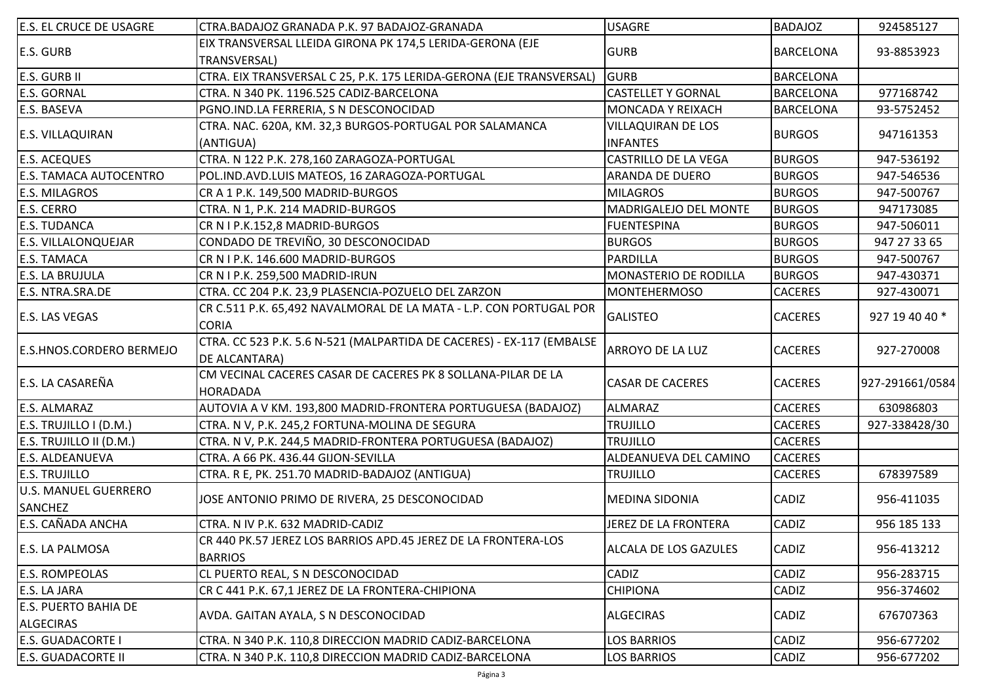| <b>E.S. EL CRUCE DE USAGRE</b>                | CTRA.BADAJOZ GRANADA P.K. 97 BADAJOZ-GRANADA                                           | <b>USAGRE</b>                | <b>BADAJOZ</b>   | 924585127       |
|-----------------------------------------------|----------------------------------------------------------------------------------------|------------------------------|------------------|-----------------|
| E.S. GURB                                     | EIX TRANSVERSAL LLEIDA GIRONA PK 174,5 LERIDA-GERONA (EJE<br>TRANSVERSAL)              | <b>GURB</b>                  | <b>BARCELONA</b> | 93-8853923      |
| <b>E.S. GURB II</b>                           | CTRA. EIX TRANSVERSAL C 25, P.K. 175 LERIDA-GERONA (EJE TRANSVERSAL)                   | <b>GURB</b>                  | <b>BARCELONA</b> |                 |
| <b>E.S. GORNAL</b>                            | CTRA. N 340 PK. 1196.525 CADIZ-BARCELONA                                               | <b>CASTELLET Y GORNAL</b>    | <b>BARCELONA</b> | 977168742       |
| E.S. BASEVA                                   | PGNO.IND.LA FERRERIA, S N DESCONOCIDAD                                                 | <b>MONCADA Y REIXACH</b>     | <b>BARCELONA</b> | 93-5752452      |
|                                               | CTRA. NAC. 620A, KM. 32,3 BURGOS-PORTUGAL POR SALAMANCA                                | <b>VILLAQUIRAN DE LOS</b>    |                  |                 |
| E.S. VILLAQUIRAN                              | (ANTIGUA)                                                                              | <b>INFANTES</b>              | <b>BURGOS</b>    | 947161353       |
| <b>E.S. ACEQUES</b>                           | CTRA. N 122 P.K. 278,160 ZARAGOZA-PORTUGAL                                             | CASTRILLO DE LA VEGA         | <b>BURGOS</b>    | 947-536192      |
| <b>E.S. TAMACA AUTOCENTRO</b>                 | POL.IND.AVD.LUIS MATEOS, 16 ZARAGOZA-PORTUGAL                                          | <b>ARANDA DE DUERO</b>       | <b>BURGOS</b>    | 947-546536      |
| E.S. MILAGROS                                 | CR A 1 P.K. 149,500 MADRID-BURGOS                                                      | <b>MILAGROS</b>              | <b>BURGOS</b>    | 947-500767      |
| E.S. CERRO                                    | CTRA. N 1, P.K. 214 MADRID-BURGOS                                                      | MADRIGALEJO DEL MONTE        | <b>BURGOS</b>    | 947173085       |
| <b>E.S. TUDANCA</b>                           | CR N I P.K.152,8 MADRID-BURGOS                                                         | <b>FUENTESPINA</b>           | <b>BURGOS</b>    | 947-506011      |
| E.S. VILLALONQUEJAR                           | CONDADO DE TREVIÑO, 30 DESCONOCIDAD                                                    | <b>BURGOS</b>                | <b>BURGOS</b>    | 947 27 33 65    |
| <b>E.S. TAMACA</b>                            | CR N I P.K. 146.600 MADRID-BURGOS                                                      | PARDILLA                     | <b>BURGOS</b>    | 947-500767      |
| <b>E.S. LA BRUJULA</b>                        | CR N I P.K. 259,500 MADRID-IRUN                                                        | MONASTERIO DE RODILLA        | <b>BURGOS</b>    | 947-430371      |
| E.S. NTRA.SRA.DE                              | CTRA. CC 204 P.K. 23,9 PLASENCIA-POZUELO DEL ZARZON                                    | <b>MONTEHERMOSO</b>          | <b>CACERES</b>   | 927-430071      |
| <b>E.S. LAS VEGAS</b>                         | CR C.511 P.K. 65,492 NAVALMORAL DE LA MATA - L.P. CON PORTUGAL POR<br><b>CORIA</b>     | <b>GALISTEO</b>              | <b>CACERES</b>   | 927 19 40 40 *  |
| <b>E.S.HNOS.CORDERO BERMEJO</b>               | CTRA. CC 523 P.K. 5.6 N-521 (MALPARTIDA DE CACERES) - EX-117 (EMBALSE<br>DE ALCANTARA) | <b>ARROYO DE LA LUZ</b>      | <b>CACERES</b>   | 927-270008      |
| E.S. LA CASAREÑA                              | CM VECINAL CACERES CASAR DE CACERES PK 8 SOLLANA-PILAR DE LA<br><b>HORADADA</b>        | <b>CASAR DE CACERES</b>      | <b>CACERES</b>   | 927-291661/0584 |
| E.S. ALMARAZ                                  | AUTOVIA A V KM. 193,800 MADRID-FRONTERA PORTUGUESA (BADAJOZ)                           | <b>ALMARAZ</b>               | <b>CACERES</b>   | 630986803       |
| E.S. TRUJILLO I (D.M.)                        | CTRA. N V, P.K. 245,2 FORTUNA-MOLINA DE SEGURA                                         | <b>TRUJILLO</b>              | <b>CACERES</b>   | 927-338428/30   |
| E.S. TRUJILLO II (D.M.)                       | CTRA. N V, P.K. 244,5 MADRID-FRONTERA PORTUGUESA (BADAJOZ)                             | <b>TRUJILLO</b>              | <b>CACERES</b>   |                 |
| E.S. ALDEANUEVA                               | CTRA. A 66 PK. 436.44 GIJON-SEVILLA                                                    | ALDEANUEVA DEL CAMINO        | <b>CACERES</b>   |                 |
| <b>E.S. TRUJILLO</b>                          | CTRA. R E, PK. 251.70 MADRID-BADAJOZ (ANTIGUA)                                         | <b>TRUJILLO</b>              | <b>CACERES</b>   | 678397589       |
| <b>U.S. MANUEL GUERRERO</b><br><b>SANCHEZ</b> | JOSE ANTONIO PRIMO DE RIVERA, 25 DESCONOCIDAD                                          | <b>MEDINA SIDONIA</b>        | <b>CADIZ</b>     | 956-411035      |
| E.S. CAÑADA ANCHA                             | CTRA. N IV P.K. 632 MADRID-CADIZ                                                       | JEREZ DE LA FRONTERA         | CADIZ            | 956 185 133     |
| E.S. LA PALMOSA                               | CR 440 PK.57 JEREZ LOS BARRIOS APD.45 JEREZ DE LA FRONTERA-LOS<br><b>BARRIOS</b>       | <b>ALCALA DE LOS GAZULES</b> | <b>CADIZ</b>     | 956-413212      |
| <b>E.S. ROMPEOLAS</b>                         | CL PUERTO REAL, S N DESCONOCIDAD                                                       | CADIZ                        | CADIZ            | 956-283715      |
| E.S. LA JARA                                  | CR C 441 P.K. 67,1 JEREZ DE LA FRONTERA-CHIPIONA                                       | <b>CHIPIONA</b>              | CADIZ            | 956-374602      |
| E.S. PUERTO BAHIA DE<br><b>ALGECIRAS</b>      | AVDA. GAITAN AYALA, S N DESCONOCIDAD                                                   | <b>ALGECIRAS</b>             | <b>CADIZ</b>     | 676707363       |
| E.S. GUADACORTE I                             | CTRA. N 340 P.K. 110,8 DIRECCION MADRID CADIZ-BARCELONA                                | <b>LOS BARRIOS</b>           | <b>CADIZ</b>     | 956-677202      |
| E.S. GUADACORTE II                            | CTRA. N 340 P.K. 110,8 DIRECCION MADRID CADIZ-BARCELONA                                | <b>LOS BARRIOS</b>           | <b>CADIZ</b>     | 956-677202      |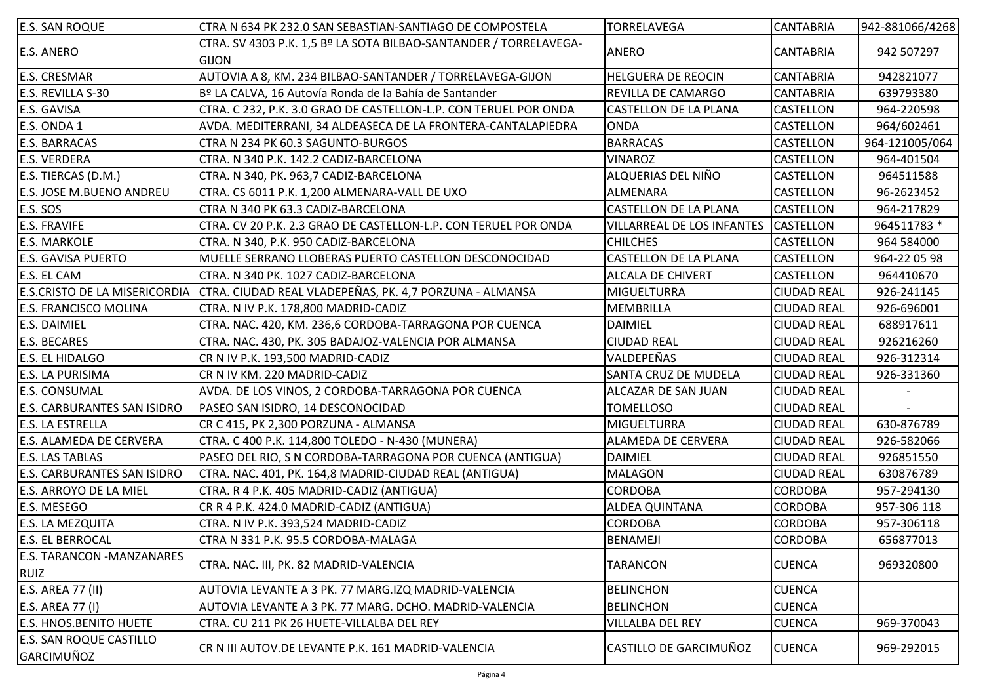| <b>E.S. SAN ROQUE</b>                 | CTRA N 634 PK 232.0 SAN SEBASTIAN-SANTIAGO DE COMPOSTELA                          | TORRELAVEGA                       | <b>CANTABRIA</b>   | 942-881066/4268 |
|---------------------------------------|-----------------------------------------------------------------------------------|-----------------------------------|--------------------|-----------------|
| <b>E.S. ANERO</b>                     | CTRA. SV 4303 P.K. 1,5 Bº LA SOTA BILBAO-SANTANDER / TORRELAVEGA-<br><b>GIJON</b> | <b>ANERO</b>                      | <b>CANTABRIA</b>   | 942 507297      |
| <b>E.S. CRESMAR</b>                   | AUTOVIA A 8, KM. 234 BILBAO-SANTANDER / TORRELAVEGA-GIJON                         | <b>HELGUERA DE REOCIN</b>         | <b>CANTABRIA</b>   | 942821077       |
| E.S. REVILLA S-30                     | Bº LA CALVA, 16 Autovía Ronda de la Bahía de Santander                            | <b>REVILLA DE CAMARGO</b>         | <b>CANTABRIA</b>   | 639793380       |
| E.S. GAVISA                           | CTRA. C 232, P.K. 3.0 GRAO DE CASTELLON-L.P. CON TERUEL POR ONDA                  | <b>CASTELLON DE LA PLANA</b>      | CASTELLON          | 964-220598      |
| E.S. ONDA 1                           | AVDA. MEDITERRANI, 34 ALDEASECA DE LA FRONTERA-CANTALAPIEDRA                      | <b>ONDA</b>                       | CASTELLON          | 964/602461      |
| <b>E.S. BARRACAS</b>                  | CTRA N 234 PK 60.3 SAGUNTO-BURGOS                                                 | <b>BARRACAS</b>                   | <b>CASTELLON</b>   | 964-121005/064  |
| <b>E.S. VERDERA</b>                   | CTRA. N 340 P.K. 142.2 CADIZ-BARCELONA                                            | <b>VINAROZ</b>                    | <b>CASTELLON</b>   | 964-401504      |
| E.S. TIERCAS (D.M.)                   | CTRA. N 340, PK. 963,7 CADIZ-BARCELONA                                            | ALQUERIAS DEL NIÑO                | CASTELLON          | 964511588       |
| E.S. JOSE M.BUENO ANDREU              | CTRA. CS 6011 P.K. 1,200 ALMENARA-VALL DE UXO                                     | ALMENARA                          | <b>CASTELLON</b>   | 96-2623452      |
| <b>E.S. SOS</b>                       | CTRA N 340 PK 63.3 CADIZ-BARCELONA                                                | <b>CASTELLON DE LA PLANA</b>      | <b>CASTELLON</b>   | 964-217829      |
| <b>E.S. FRAVIFE</b>                   | CTRA. CV 20 P.K. 2.3 GRAO DE CASTELLON-L.P. CON TERUEL POR ONDA                   | <b>VILLARREAL DE LOS INFANTES</b> | <b>CASTELLON</b>   | 964511783 *     |
| <b>E.S. MARKOLE</b>                   | CTRA. N 340, P.K. 950 CADIZ-BARCELONA                                             | <b>CHILCHES</b>                   | CASTELLON          | 964 584000      |
| <b>E.S. GAVISA PUERTO</b>             | MUELLE SERRANO LLOBERAS PUERTO CASTELLON DESCONOCIDAD                             | CASTELLON DE LA PLANA             | <b>CASTELLON</b>   | 964-22 05 98    |
| E.S. EL CAM                           | CTRA. N 340 PK. 1027 CADIZ-BARCELONA                                              | <b>ALCALA DE CHIVERT</b>          | CASTELLON          | 964410670       |
| E.S.CRISTO DE LA MISERICORDIA         | CTRA. CIUDAD REAL VLADEPEÑAS, PK. 4,7 PORZUNA - ALMANSA                           | <b>MIGUELTURRA</b>                | <b>CIUDAD REAL</b> | 926-241145      |
| <b>E.S. FRANCISCO MOLINA</b>          | CTRA. N IV P.K. 178,800 MADRID-CADIZ                                              | <b>MEMBRILLA</b>                  | <b>CIUDAD REAL</b> | 926-696001      |
| <b>E.S. DAIMIEL</b>                   | CTRA. NAC. 420, KM. 236,6 CORDOBA-TARRAGONA POR CUENCA                            | <b>DAIMIEL</b>                    | <b>CIUDAD REAL</b> | 688917611       |
| E.S. BECARES                          | CTRA. NAC. 430, PK. 305 BADAJOZ-VALENCIA POR ALMANSA                              | <b>CIUDAD REAL</b>                | <b>CIUDAD REAL</b> | 926216260       |
| E.S. EL HIDALGO                       | CR N IV P.K. 193,500 MADRID-CADIZ                                                 | VALDEPEÑAS                        | <b>CIUDAD REAL</b> | 926-312314      |
| E.S. LA PURISIMA                      | CR N IV KM. 220 MADRID-CADIZ                                                      | <b>SANTA CRUZ DE MUDELA</b>       | <b>CIUDAD REAL</b> | 926-331360      |
| <b>E.S. CONSUMAL</b>                  | AVDA. DE LOS VINOS, 2 CORDOBA-TARRAGONA POR CUENCA                                | ALCAZAR DE SAN JUAN               | <b>CIUDAD REAL</b> |                 |
| E.S. CARBURANTES SAN ISIDRO           | PASEO SAN ISIDRO, 14 DESCONOCIDAD                                                 | <b>TOMELLOSO</b>                  | <b>CIUDAD REAL</b> |                 |
| E.S. LA ESTRELLA                      | CR C 415, PK 2,300 PORZUNA - ALMANSA                                              | <b>MIGUELTURRA</b>                | <b>CIUDAD REAL</b> | 630-876789      |
| E.S. ALAMEDA DE CERVERA               | CTRA. C 400 P.K. 114,800 TOLEDO - N-430 (MUNERA)                                  | ALAMEDA DE CERVERA                | <b>CIUDAD REAL</b> | 926-582066      |
| E.S. LAS TABLAS                       | PASEO DEL RIO, S N CORDOBA-TARRAGONA POR CUENCA (ANTIGUA)                         | <b>DAIMIEL</b>                    | <b>CIUDAD REAL</b> | 926851550       |
| E.S. CARBURANTES SAN ISIDRO           | CTRA. NAC. 401, PK. 164,8 MADRID-CIUDAD REAL (ANTIGUA)                            | <b>MALAGON</b>                    | <b>CIUDAD REAL</b> | 630876789       |
| <b>E.S. ARROYO DE LA MIEL</b>         | CTRA. R 4 P.K. 405 MADRID-CADIZ (ANTIGUA)                                         | <b>CORDOBA</b>                    | <b>CORDOBA</b>     | 957-294130      |
| E.S. MESEGO                           | CR R 4 P.K. 424.0 MADRID-CADIZ (ANTIGUA)                                          | <b>ALDEA QUINTANA</b>             | <b>CORDOBA</b>     | 957-306 118     |
| E.S. LA MEZQUITA                      | CTRA. N IV P.K. 393,524 MADRID-CADIZ                                              | <b>CORDOBA</b>                    | <b>CORDOBA</b>     | 957-306118      |
| <b>E.S. EL BERROCAL</b>               | CTRA N 331 P.K. 95.5 CORDOBA-MALAGA                                               | BENAMEJI                          | <b>CORDOBA</b>     | 656877013       |
| <b>E.S. TARANCON -MANZANARES</b>      |                                                                                   |                                   |                    |                 |
| <b>RUIZ</b>                           | CTRA. NAC. III, PK. 82 MADRID-VALENCIA                                            | TARANCON                          | <b>CUENCA</b>      | 969320800       |
| E.S. AREA 77 (II)                     | AUTOVIA LEVANTE A 3 PK. 77 MARG.IZQ MADRID-VALENCIA                               | <b>BELINCHON</b>                  | <b>CUENCA</b>      |                 |
| E.S. AREA 77 (I)                      | AUTOVIA LEVANTE A 3 PK. 77 MARG. DCHO. MADRID-VALENCIA                            | <b>BELINCHON</b>                  | <b>CUENCA</b>      |                 |
| <b>E.S. HNOS.BENITO HUETE</b>         | CTRA. CU 211 PK 26 HUETE-VILLALBA DEL REY                                         | <b>VILLALBA DEL REY</b>           | <b>CUENCA</b>      | 969-370043      |
| E.S. SAN ROQUE CASTILLO<br>GARCIMUÑOZ | CR N III AUTOV.DE LEVANTE P.K. 161 MADRID-VALENCIA                                | CASTILLO DE GARCIMUÑOZ            | <b>CUENCA</b>      | 969-292015      |
|                                       |                                                                                   |                                   |                    |                 |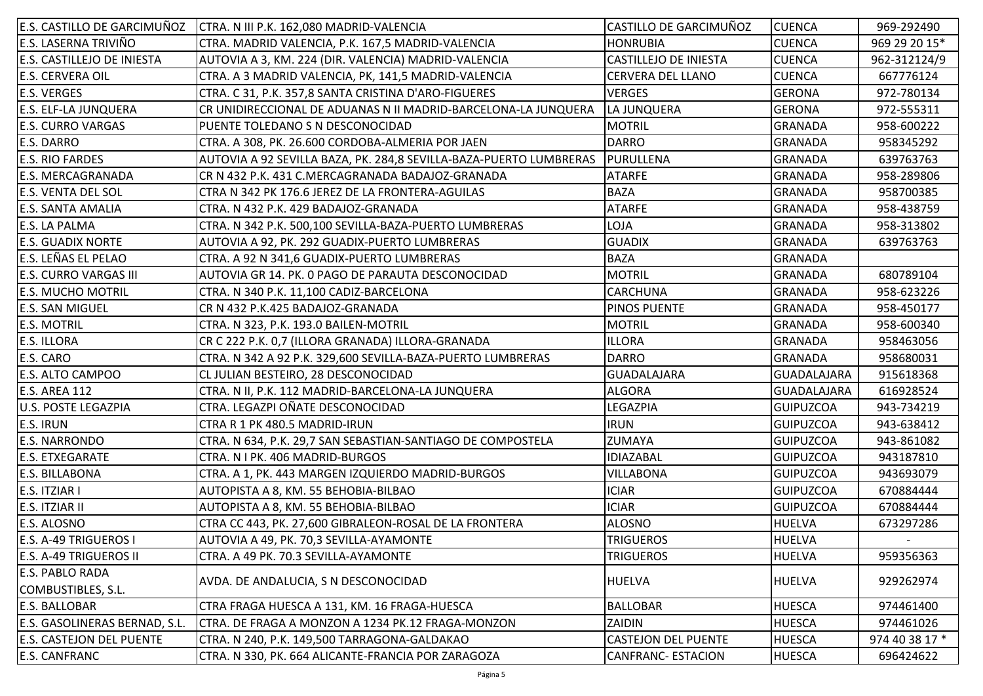| E.S. CASTILLO DE GARCIMUÑOZ       | CTRA. N III P.K. 162,080 MADRID-VALENCIA                           | CASTILLO DE GARCIMUÑOZ       | <b>CUENCA</b>    | 969-292490     |
|-----------------------------------|--------------------------------------------------------------------|------------------------------|------------------|----------------|
| E.S. LASERNA TRIVIÑO              | CTRA. MADRID VALENCIA, P.K. 167,5 MADRID-VALENCIA                  | <b>HONRUBIA</b>              | <b>CUENCA</b>    | 969 29 20 15*  |
| <b>E.S. CASTILLEJO DE INIESTA</b> | AUTOVIA A 3, KM. 224 (DIR. VALENCIA) MADRID-VALENCIA               | <b>CASTILLEJO DE INIESTA</b> | <b>CUENCA</b>    | 962-312124/9   |
| <b>E.S. CERVERA OIL</b>           | CTRA. A 3 MADRID VALENCIA, PK, 141,5 MADRID-VALENCIA               | CERVERA DEL LLANO            | <b>CUENCA</b>    | 667776124      |
| <b>E.S. VERGES</b>                | CTRA. C 31, P.K. 357,8 SANTA CRISTINA D'ARO-FIGUERES               | <b>VERGES</b>                | <b>GERONA</b>    | 972-780134     |
| <b>E.S. ELF-LA JUNQUERA</b>       | CR UNIDIRECCIONAL DE ADUANAS N II MADRID-BARCELONA-LA JUNQUERA     | LA JUNQUERA                  | <b>GERONA</b>    | 972-555311     |
| <b>E.S. CURRO VARGAS</b>          | PUENTE TOLEDANO S N DESCONOCIDAD                                   | <b>MOTRIL</b>                | <b>GRANADA</b>   | 958-600222     |
| <b>E.S. DARRO</b>                 | CTRA. A 308, PK. 26.600 CORDOBA-ALMERIA POR JAEN                   | <b>DARRO</b>                 | <b>GRANADA</b>   | 958345292      |
| <b>E.S. RIO FARDES</b>            | AUTOVIA A 92 SEVILLA BAZA, PK. 284,8 SEVILLA-BAZA-PUERTO LUMBRERAS | PURULLENA                    | <b>GRANADA</b>   | 639763763      |
| <b>E.S. MERCAGRANADA</b>          | CR N 432 P.K. 431 C.MERCAGRANADA BADAJOZ-GRANADA                   | <b>ATARFE</b>                | <b>GRANADA</b>   | 958-289806     |
| <b>E.S. VENTA DEL SOL</b>         | CTRA N 342 PK 176.6 JEREZ DE LA FRONTERA-AGUILAS                   | <b>BAZA</b>                  | <b>GRANADA</b>   | 958700385      |
| <b>E.S. SANTA AMALIA</b>          | CTRA. N 432 P.K. 429 BADAJOZ-GRANADA                               | <b>ATARFE</b>                | <b>GRANADA</b>   | 958-438759     |
| <b>E.S. LA PALMA</b>              | CTRA. N 342 P.K. 500,100 SEVILLA-BAZA-PUERTO LUMBRERAS             | LOJA                         | <b>GRANADA</b>   | 958-313802     |
| <b>E.S. GUADIX NORTE</b>          | AUTOVIA A 92, PK. 292 GUADIX-PUERTO LUMBRERAS                      | <b>GUADIX</b>                | <b>GRANADA</b>   | 639763763      |
| E.S. LEÑAS EL PELAO               | CTRA. A 92 N 341,6 GUADIX-PUERTO LUMBRERAS                         | <b>BAZA</b>                  | <b>GRANADA</b>   |                |
| <b>E.S. CURRO VARGAS III</b>      | AUTOVIA GR 14. PK. 0 PAGO DE PARAUTA DESCONOCIDAD                  | <b>MOTRIL</b>                | <b>GRANADA</b>   | 680789104      |
| <b>E.S. MUCHO MOTRIL</b>          | CTRA. N 340 P.K. 11,100 CADIZ-BARCELONA                            | <b>CARCHUNA</b>              | <b>GRANADA</b>   | 958-623226     |
| <b>E.S. SAN MIGUEL</b>            | CR N 432 P.K.425 BADAJOZ-GRANADA                                   | PINOS PUENTE                 | <b>GRANADA</b>   | 958-450177     |
| <b>E.S. MOTRIL</b>                | CTRA. N 323, P.K. 193.0 BAILEN-MOTRIL                              | <b>MOTRIL</b>                | <b>GRANADA</b>   | 958-600340     |
| <b>E.S. ILLORA</b>                | CR C 222 P.K. 0,7 (ILLORA GRANADA) ILLORA-GRANADA                  | <b>ILLORA</b>                | <b>GRANADA</b>   | 958463056      |
| E.S. CARO                         | CTRA. N 342 A 92 P.K. 329,600 SEVILLA-BAZA-PUERTO LUMBRERAS        | <b>DARRO</b>                 | <b>GRANADA</b>   | 958680031      |
| <b>E.S. ALTO CAMPOO</b>           | CL JULIAN BESTEIRO, 28 DESCONOCIDAD                                | <b>GUADALAJARA</b>           | GUADALAJARA      | 915618368      |
| <b>E.S. AREA 112</b>              | CTRA. N II, P.K. 112 MADRID-BARCELONA-LA JUNQUERA                  | <b>ALGORA</b>                | GUADALAJARA      | 616928524      |
| <b>U.S. POSTE LEGAZPIA</b>        | CTRA. LEGAZPI OÑATE DESCONOCIDAD                                   | LEGAZPIA                     | <b>GUIPUZCOA</b> | 943-734219     |
| <b>E.S. IRUN</b>                  | CTRA R 1 PK 480.5 MADRID-IRUN                                      | <b>IRUN</b>                  | <b>GUIPUZCOA</b> | 943-638412     |
| <b>E.S. NARRONDO</b>              | CTRA. N 634, P.K. 29,7 SAN SEBASTIAN-SANTIAGO DE COMPOSTELA        | ZUMAYA                       | <b>GUIPUZCOA</b> | 943-861082     |
| <b>E.S. ETXEGARATE</b>            | CTRA. N I PK. 406 MADRID-BURGOS                                    | <b>IDIAZABAL</b>             | <b>GUIPUZCOA</b> | 943187810      |
| <b>E.S. BILLABONA</b>             | CTRA. A 1, PK. 443 MARGEN IZQUIERDO MADRID-BURGOS                  | <b>VILLABONA</b>             | <b>GUIPUZCOA</b> | 943693079      |
| E.S. ITZIAR I                     | AUTOPISTA A 8, KM. 55 BEHOBIA-BILBAO                               | <b>ICIAR</b>                 | <b>GUIPUZCOA</b> | 670884444      |
| E.S. ITZIAR II                    | AUTOPISTA A 8, KM. 55 BEHOBIA-BILBAO                               | <b>ICIAR</b>                 | <b>GUIPUZCOA</b> | 670884444      |
| E.S. ALOSNO                       | CTRA CC 443, PK. 27,600 GIBRALEON-ROSAL DE LA FRONTERA             | <b>ALOSNO</b>                | <b>HUELVA</b>    | 673297286      |
| <b>E.S. A-49 TRIGUEROS I</b>      | AUTOVIA A 49, PK. 70,3 SEVILLA-AYAMONTE                            | <b>TRIGUEROS</b>             | <b>HUELVA</b>    |                |
| <b>E.S. A-49 TRIGUEROS II</b>     | CTRA. A 49 PK. 70.3 SEVILLA-AYAMONTE                               | TRIGUEROS                    | <b>HUELVA</b>    | 959356363      |
| <b>E.S. PABLO RADA</b>            |                                                                    |                              |                  |                |
| COMBUSTIBLES, S.L.                | AVDA. DE ANDALUCIA, S N DESCONOCIDAD                               | <b>HUELVA</b>                | <b>HUELVA</b>    | 929262974      |
| <b>E.S. BALLOBAR</b>              | CTRA FRAGA HUESCA A 131, KM. 16 FRAGA-HUESCA                       | <b>BALLOBAR</b>              | <b>HUESCA</b>    | 974461400      |
| E.S. GASOLINERAS BERNAD, S.L.     | CTRA. DE FRAGA A MONZON A 1234 PK.12 FRAGA-MONZON                  | ZAIDIN                       | <b>HUESCA</b>    | 974461026      |
| <b>E.S. CASTEJON DEL PUENTE</b>   | CTRA. N 240, P.K. 149,500 TARRAGONA-GALDAKAO                       | <b>CASTEJON DEL PUENTE</b>   | <b>HUESCA</b>    | 974 40 38 17 * |
| <b>E.S. CANFRANC</b>              | CTRA. N 330, PK. 664 ALICANTE-FRANCIA POR ZARAGOZA                 | <b>CANFRANC- ESTACION</b>    | <b>HUESCA</b>    | 696424622      |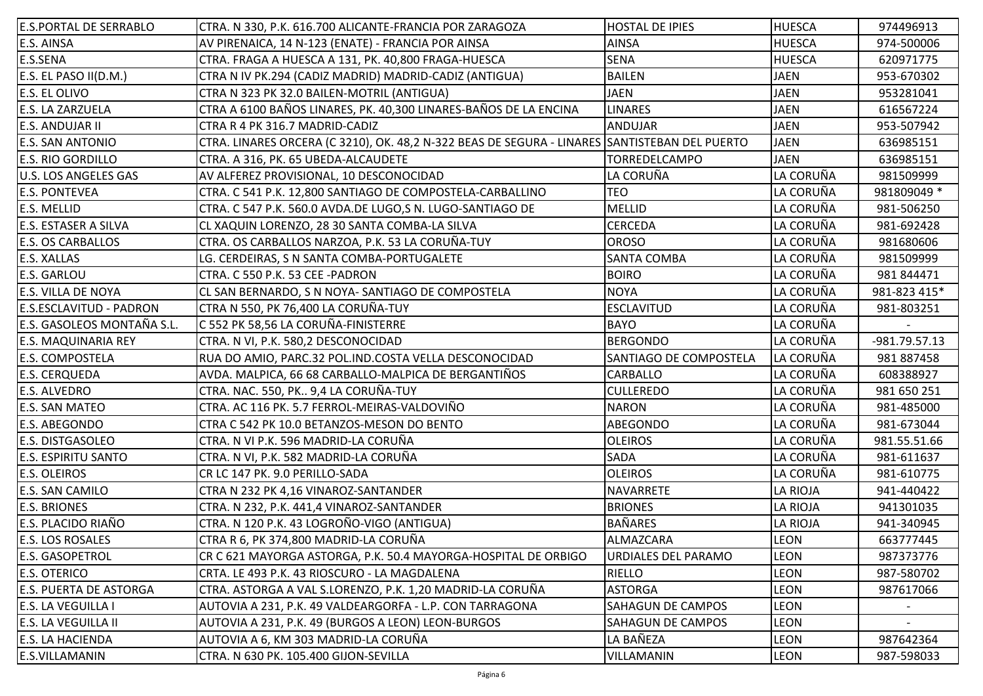| <b>E.S.PORTAL DE SERRABLO</b>  | CTRA. N 330, P.K. 616.700 ALICANTE-FRANCIA POR ZARAGOZA                                       | <b>HOSTAL DE IPIES</b>     | <b>HUESCA</b> | 974496913     |
|--------------------------------|-----------------------------------------------------------------------------------------------|----------------------------|---------------|---------------|
| E.S. AINSA                     | AV PIRENAICA, 14 N-123 (ENATE) - FRANCIA POR AINSA                                            | <b>AINSA</b>               | <b>HUESCA</b> | 974-500006    |
| E.S.SENA                       | CTRA. FRAGA A HUESCA A 131, PK. 40,800 FRAGA-HUESCA                                           | <b>SENA</b>                | <b>HUESCA</b> | 620971775     |
| E.S. EL PASO II(D.M.)          | CTRA N IV PK.294 (CADIZ MADRID) MADRID-CADIZ (ANTIGUA)                                        | <b>BAILEN</b>              | <b>JAEN</b>   | 953-670302    |
| <b>E.S. EL OLIVO</b>           | CTRA N 323 PK 32.0 BAILEN-MOTRIL (ANTIGUA)                                                    | <b>JAEN</b>                | <b>JAEN</b>   | 953281041     |
| <b>E.S. LA ZARZUELA</b>        | CTRA A 6100 BAÑOS LINARES, PK. 40,300 LINARES-BAÑOS DE LA ENCINA                              | <b>LINARES</b>             | <b>JAEN</b>   | 616567224     |
| <b>E.S. ANDUJAR II</b>         | CTRA R 4 PK 316.7 MADRID-CADIZ                                                                | <b>ANDUJAR</b>             | <b>JAEN</b>   | 953-507942    |
| <b>E.S. SAN ANTONIO</b>        | CTRA. LINARES ORCERA (C 3210), OK. 48,2 N-322 BEAS DE SEGURA - LINARES SANTISTEBAN DEL PUERTO |                            | <b>JAEN</b>   | 636985151     |
| <b>E.S. RIO GORDILLO</b>       | CTRA. A 316, PK. 65 UBEDA-ALCAUDETE                                                           | TORREDELCAMPO              | <b>JAEN</b>   | 636985151     |
| <b>U.S. LOS ANGELES GAS</b>    | AV ALFEREZ PROVISIONAL, 10 DESCONOCIDAD                                                       | LA CORUÑA                  | LA CORUÑA     | 981509999     |
| <b>E.S. PONTEVEA</b>           | CTRA. C 541 P.K. 12,800 SANTIAGO DE COMPOSTELA-CARBALLINO                                     | <b>TEO</b>                 | LA CORUÑA     | 981809049 *   |
| <b>E.S. MELLID</b>             | CTRA. C 547 P.K. 560.0 AVDA.DE LUGO,S N. LUGO-SANTIAGO DE                                     | <b>MELLID</b>              | LA CORUÑA     | 981-506250    |
| <b>E.S. ESTASER A SILVA</b>    | CL XAQUIN LORENZO, 28 30 SANTA COMBA-LA SILVA                                                 | <b>CERCEDA</b>             | LA CORUÑA     | 981-692428    |
| <b>E.S. OS CARBALLOS</b>       | CTRA. OS CARBALLOS NARZOA, P.K. 53 LA CORUÑA-TUY                                              | <b>OROSO</b>               | LA CORUÑA     | 981680606     |
| <b>E.S. XALLAS</b>             | LG. CERDEIRAS, S N SANTA COMBA-PORTUGALETE                                                    | <b>SANTA COMBA</b>         | LA CORUÑA     | 981509999     |
| <b>E.S. GARLOU</b>             | CTRA. C 550 P.K. 53 CEE - PADRON                                                              | <b>BOIRO</b>               | LA CORUÑA     | 981 844471    |
| <b>E.S. VILLA DE NOYA</b>      | CL SAN BERNARDO, S N NOYA- SANTIAGO DE COMPOSTELA                                             | <b>NOYA</b>                | LA CORUÑA     | 981-823 415*  |
| <b>E.S.ESCLAVITUD - PADRON</b> | CTRA N 550, PK 76,400 LA CORUÑA-TUY                                                           | <b>ESCLAVITUD</b>          | LA CORUÑA     | 981-803251    |
| E.S. GASOLEOS MONTAÑA S.L.     | C 552 PK 58,56 LA CORUÑA-FINISTERRE                                                           | <b>BAYO</b>                | LA CORUÑA     |               |
| <b>E.S. MAQUINARIA REY</b>     | CTRA. N VI, P.K. 580,2 DESCONOCIDAD                                                           | <b>BERGONDO</b>            | LA CORUÑA     | -981.79.57.13 |
| <b>E.S. COMPOSTELA</b>         | RUA DO AMIO, PARC.32 POL.IND.COSTA VELLA DESCONOCIDAD                                         | SANTIAGO DE COMPOSTELA     | LA CORUÑA     | 981 887458    |
| <b>E.S. CERQUEDA</b>           | AVDA. MALPICA, 66 68 CARBALLO-MALPICA DE BERGANTIÑOS                                          | CARBALLO                   | LA CORUÑA     | 608388927     |
| <b>E.S. ALVEDRO</b>            | CTRA. NAC. 550, PK 9,4 LA CORUÑA-TUY                                                          | <b>CULLEREDO</b>           | LA CORUÑA     | 981 650 251   |
| <b>E.S. SAN MATEO</b>          | CTRA. AC 116 PK. 5.7 FERROL-MEIRAS-VALDOVIÑO                                                  | <b>NARON</b>               | LA CORUÑA     | 981-485000    |
| <b>E.S. ABEGONDO</b>           | CTRA C 542 PK 10.0 BETANZOS-MESON DO BENTO                                                    | ABEGONDO                   | LA CORUÑA     | 981-673044    |
| <b>E.S. DISTGASOLEO</b>        | CTRA. N VI P.K. 596 MADRID-LA CORUÑA                                                          | <b>OLEIROS</b>             | LA CORUÑA     | 981.55.51.66  |
| <b>E.S. ESPIRITU SANTO</b>     | CTRA. N VI, P.K. 582 MADRID-LA CORUÑA                                                         | SADA                       | LA CORUÑA     | 981-611637    |
| <b>E.S. OLEIROS</b>            | CR LC 147 PK. 9.0 PERILLO-SADA                                                                | <b>OLEIROS</b>             | LA CORUÑA     | 981-610775    |
| <b>E.S. SAN CAMILO</b>         | CTRA N 232 PK 4,16 VINAROZ-SANTANDER                                                          | NAVARRETE                  | LA RIOJA      | 941-440422    |
| <b>E.S. BRIONES</b>            | CTRA. N 232, P.K. 441,4 VINAROZ-SANTANDER                                                     | <b>BRIONES</b>             | LA RIOJA      | 941301035     |
| <b>E.S. PLACIDO RIAÑO</b>      | CTRA. N 120 P.K. 43 LOGROÑO-VIGO (ANTIGUA)                                                    | <b>BAÑARES</b>             | LA RIOJA      | 941-340945    |
| <b>E.S. LOS ROSALES</b>        | CTRA R 6, PK 374,800 MADRID-LA CORUÑA                                                         | ALMAZCARA                  | <b>LEON</b>   | 663777445     |
| <b>E.S. GASOPETROL</b>         | CR C 621 MAYORGA ASTORGA, P.K. 50.4 MAYORGA-HOSPITAL DE ORBIGO                                | <b>URDIALES DEL PARAMO</b> | <b>LEON</b>   | 987373776     |
| <b>E.S. OTERICO</b>            | CRTA. LE 493 P.K. 43 RIOSCURO - LA MAGDALENA                                                  | RIELLO                     | LEON          | 987-580702    |
| <b>E.S. PUERTA DE ASTORGA</b>  | CTRA. ASTORGA A VAL S.LORENZO, P.K. 1,20 MADRID-LA CORUÑA                                     | <b>ASTORGA</b>             | LEON          | 987617066     |
| <b>E.S. LA VEGUILLA I</b>      | AUTOVIA A 231, P.K. 49 VALDEARGORFA - L.P. CON TARRAGONA                                      | SAHAGUN DE CAMPOS          | <b>LEON</b>   |               |
| <b>E.S. LA VEGUILLA II</b>     | AUTOVIA A 231, P.K. 49 (BURGOS A LEON) LEON-BURGOS                                            | SAHAGUN DE CAMPOS          | <b>LEON</b>   |               |
| <b>E.S. LA HACIENDA</b>        | AUTOVIA A 6, KM 303 MADRID-LA CORUÑA                                                          | LA BAÑEZA                  | LEON          | 987642364     |
| E.S.VILLAMANIN                 | CTRA. N 630 PK. 105.400 GIJON-SEVILLA                                                         | VILLAMANIN                 | <b>LEON</b>   | 987-598033    |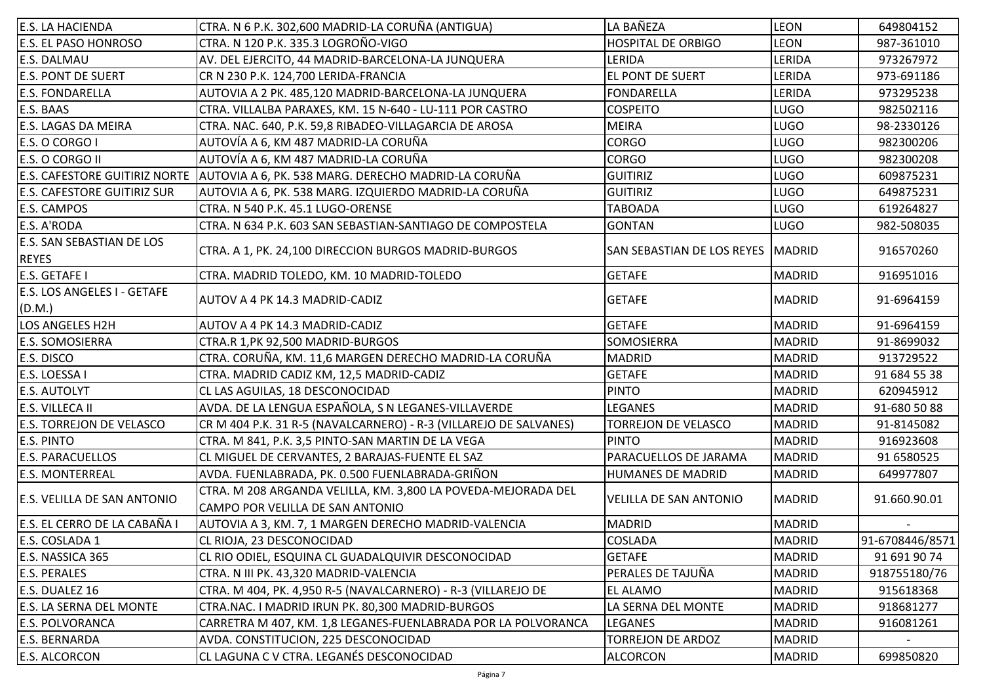| <b>E.S. LA HACIENDA</b>              | CTRA. N 6 P.K. 302,600 MADRID-LA CORUÑA (ANTIGUA)                 | LA BAÑEZA                     | <b>LEON</b>   | 649804152       |
|--------------------------------------|-------------------------------------------------------------------|-------------------------------|---------------|-----------------|
| <b>E.S. EL PASO HONROSO</b>          | CTRA. N 120 P.K. 335.3 LOGROÑO-VIGO                               | <b>HOSPITAL DE ORBIGO</b>     | <b>LEON</b>   | 987-361010      |
| <b>E.S. DALMAU</b>                   | AV. DEL EJERCITO, 44 MADRID-BARCELONA-LA JUNQUERA                 | LERIDA                        | LERIDA        | 973267972       |
| <b>E.S. PONT DE SUERT</b>            | CR N 230 P.K. 124,700 LERIDA-FRANCIA                              | <b>EL PONT DE SUERT</b>       | LERIDA        | 973-691186      |
| <b>E.S. FONDARELLA</b>               | AUTOVIA A 2 PK. 485,120 MADRID-BARCELONA-LA JUNQUERA              | <b>FONDARELLA</b>             | LERIDA        | 973295238       |
| E.S. BAAS                            | CTRA. VILLALBA PARAXES, KM. 15 N-640 - LU-111 POR CASTRO          | <b>COSPEITO</b>               | <b>LUGO</b>   | 982502116       |
| <b>E.S. LAGAS DA MEIRA</b>           | CTRA. NAC. 640, P.K. 59,8 RIBADEO-VILLAGARCIA DE AROSA            | <b>MEIRA</b>                  | <b>LUGO</b>   | 98-2330126      |
| E.S. O CORGO I                       | AUTOVÍA A 6, KM 487 MADRID-LA CORUÑA                              | <b>CORGO</b>                  | <b>LUGO</b>   | 982300206       |
| E.S. O CORGO II                      | AUTOVÍA A 6, KM 487 MADRID-LA CORUÑA                              | <b>CORGO</b>                  | <b>LUGO</b>   | 982300208       |
| <b>E.S. CAFESTORE GUITIRIZ NORTE</b> | AUTOVIA A 6, PK. 538 MARG. DERECHO MADRID-LA CORUÑA               | <b>GUITIRIZ</b>               | <b>LUGO</b>   | 609875231       |
| <b>E.S. CAFESTORE GUITIRIZ SUR</b>   | AUTOVIA A 6, PK. 538 MARG. IZQUIERDO MADRID-LA CORUÑA             | <b>GUITIRIZ</b>               | <b>LUGO</b>   | 649875231       |
| E.S. CAMPOS                          | CTRA. N 540 P.K. 45.1 LUGO-ORENSE                                 | <b>TABOADA</b>                | <b>LUGO</b>   | 619264827       |
| E.S. A'RODA                          | CTRA. N 634 P.K. 603 SAN SEBASTIAN-SANTIAGO DE COMPOSTELA         | <b>GONTAN</b>                 | <b>LUGO</b>   | 982-508035      |
| <b>E.S. SAN SEBASTIAN DE LOS</b>     |                                                                   |                               |               |                 |
| <b>REYES</b>                         | CTRA. A 1, PK. 24,100 DIRECCION BURGOS MADRID-BURGOS              | SAN SEBASTIAN DE LOS REYES    | <b>MADRID</b> | 916570260       |
| E.S. GETAFE I                        | CTRA. MADRID TOLEDO, KM. 10 MADRID-TOLEDO                         | <b>GETAFE</b>                 | <b>MADRID</b> | 916951016       |
| E.S. LOS ANGELES I - GETAFE          |                                                                   |                               |               |                 |
| (D.M.)                               | AUTOV A 4 PK 14.3 MADRID-CADIZ                                    | <b>GETAFE</b>                 | <b>MADRID</b> | 91-6964159      |
| <b>LOS ANGELES H2H</b>               | AUTOV A 4 PK 14.3 MADRID-CADIZ                                    | <b>GETAFE</b>                 | <b>MADRID</b> | 91-6964159      |
| <b>E.S. SOMOSIERRA</b>               | CTRA.R 1, PK 92, 500 MADRID-BURGOS                                | SOMOSIERRA                    | <b>MADRID</b> | 91-8699032      |
| E.S. DISCO                           | CTRA. CORUÑA, KM. 11,6 MARGEN DERECHO MADRID-LA CORUÑA            | <b>MADRID</b>                 | <b>MADRID</b> | 913729522       |
| E.S. LOESSA I                        | CTRA. MADRID CADIZ KM, 12,5 MADRID-CADIZ                          | <b>GETAFE</b>                 | <b>MADRID</b> | 91 684 55 38    |
| <b>E.S. AUTOLYT</b>                  | CL LAS AGUILAS, 18 DESCONOCIDAD                                   | <b>PINTO</b>                  | <b>MADRID</b> | 620945912       |
| E.S. VILLECA II                      | AVDA. DE LA LENGUA ESPAÑOLA, S N LEGANES-VILLAVERDE               | <b>LEGANES</b>                | <b>MADRID</b> | 91-680 50 88    |
| <b>E.S. TORREJON DE VELASCO</b>      | CR M 404 P.K. 31 R-5 (NAVALCARNERO) - R-3 (VILLAREJO DE SALVANES) | TORREJON DE VELASCO           | <b>MADRID</b> | 91-8145082      |
| <b>E.S. PINTO</b>                    | CTRA. M 841, P.K. 3,5 PINTO-SAN MARTIN DE LA VEGA                 | <b>IPINTO</b>                 | <b>MADRID</b> | 916923608       |
| <b>E.S. PARACUELLOS</b>              | CL MIGUEL DE CERVANTES, 2 BARAJAS-FUENTE EL SAZ                   | PARACUELLOS DE JARAMA         | <b>MADRID</b> | 91 6580525      |
| <b>E.S. MONTERREAL</b>               | AVDA. FUENLABRADA, PK. 0.500 FUENLABRADA-GRIÑON                   | HUMANES DE MADRID             | <b>MADRID</b> | 649977807       |
|                                      | CTRA. M 208 ARGANDA VELILLA, KM. 3,800 LA POVEDA-MEJORADA DEL     |                               |               |                 |
| <b>E.S. VELILLA DE SAN ANTONIO</b>   | CAMPO POR VELILLA DE SAN ANTONIO                                  | <b>VELILLA DE SAN ANTONIO</b> | <b>MADRID</b> | 91.660.90.01    |
| E.S. EL CERRO DE LA CABAÑA I         | AUTOVIA A 3, KM. 7, 1 MARGEN DERECHO MADRID-VALENCIA              | <b>MADRID</b>                 | <b>MADRID</b> |                 |
| E.S. COSLADA 1                       | CL RIOJA, 23 DESCONOCIDAD                                         | COSLADA                       | <b>MADRID</b> | 91-6708446/8571 |
| E.S. NASSICA 365                     | CL RIO ODIEL, ESQUINA CL GUADALQUIVIR DESCONOCIDAD                | <b>GETAFE</b>                 | <b>MADRID</b> | 91 691 90 74    |
| <b>E.S. PERALES</b>                  | CTRA. N III PK. 43,320 MADRID-VALENCIA                            | PERALES DE TAJUÑA             | <b>MADRID</b> | 918755180/76    |
| E.S. DUALEZ 16                       | CTRA. M 404, PK. 4,950 R-5 (NAVALCARNERO) - R-3 (VILLAREJO DE     | <b>EL ALAMO</b>               | <b>MADRID</b> | 915618368       |
| <b>E.S. LA SERNA DEL MONTE</b>       | CTRA.NAC. I MADRID IRUN PK. 80,300 MADRID-BURGOS                  | LA SERNA DEL MONTE            | <b>MADRID</b> | 918681277       |
| <b>E.S. POLVORANCA</b>               | CARRETRA M 407, KM. 1,8 LEGANES-FUENLABRADA POR LA POLVORANCA     | <b>LEGANES</b>                | <b>MADRID</b> | 916081261       |
| <b>E.S. BERNARDA</b>                 | AVDA. CONSTITUCION, 225 DESCONOCIDAD                              | <b>TORREJON DE ARDOZ</b>      | <b>MADRID</b> |                 |
| E.S. ALCORCON                        | CL LAGUNA C V CTRA. LEGANÉS DESCONOCIDAD                          | <b>ALCORCON</b>               | <b>MADRID</b> | 699850820       |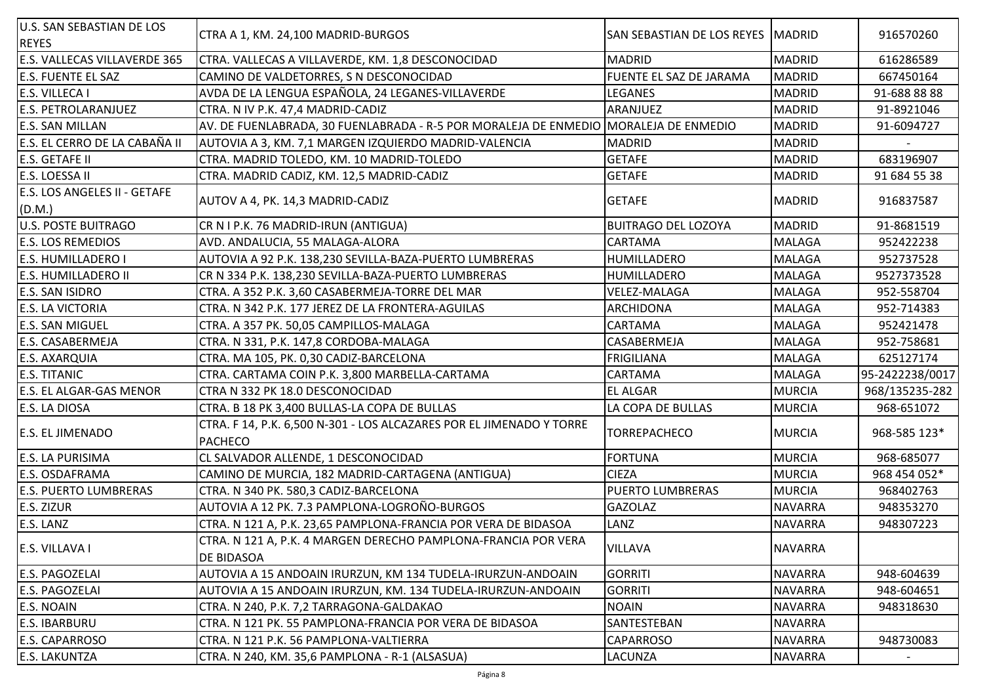| <b>U.S. SAN SEBASTIAN DE LOS</b><br><b>REYES</b> | CTRA A 1, KM. 24,100 MADRID-BURGOS                                                     | <b>SAN SEBASTIAN DE LOS REYES</b> | <b>MADRID</b>  | 916570260                |
|--------------------------------------------------|----------------------------------------------------------------------------------------|-----------------------------------|----------------|--------------------------|
| E.S. VALLECAS VILLAVERDE 365                     | CTRA. VALLECAS A VILLAVERDE, KM. 1,8 DESCONOCIDAD                                      | <b>MADRID</b>                     | <b>MADRID</b>  | 616286589                |
| <b>E.S. FUENTE EL SAZ</b>                        | CAMINO DE VALDETORRES, S N DESCONOCIDAD                                                | FUENTE EL SAZ DE JARAMA           | <b>MADRID</b>  | 667450164                |
| E.S. VILLECA I                                   | AVDA DE LA LENGUA ESPAÑOLA, 24 LEGANES-VILLAVERDE                                      | LEGANES                           | <b>MADRID</b>  | 91-688 88 88             |
| E.S. PETROLARANJUEZ                              | CTRA. N IV P.K. 47,4 MADRID-CADIZ                                                      | ARANJUEZ                          | <b>MADRID</b>  | 91-8921046               |
| <b>E.S. SAN MILLAN</b>                           | AV. DE FUENLABRADA, 30 FUENLABRADA - R-5 POR MORALEJA DE ENMEDIO MORALEJA DE ENMEDIO   |                                   | <b>MADRID</b>  | 91-6094727               |
| E.S. EL CERRO DE LA CABAÑA II                    | AUTOVIA A 3, KM. 7,1 MARGEN IZQUIERDO MADRID-VALENCIA                                  | <b>MADRID</b>                     | <b>MADRID</b>  |                          |
| E.S. GETAFE II                                   | CTRA. MADRID TOLEDO, KM. 10 MADRID-TOLEDO                                              | <b>GETAFE</b>                     | <b>MADRID</b>  | 683196907                |
| E.S. LOESSA II                                   | CTRA. MADRID CADIZ, KM. 12,5 MADRID-CADIZ                                              | <b>GETAFE</b>                     | <b>MADRID</b>  | 91 684 55 38             |
| <b>E.S. LOS ANGELES II - GETAFE</b><br>(D.M.)    | AUTOV A 4, PK. 14,3 MADRID-CADIZ                                                       | <b>GETAFE</b>                     | <b>MADRID</b>  | 916837587                |
| <b>U.S. POSTE BUITRAGO</b>                       | CR N I P.K. 76 MADRID-IRUN (ANTIGUA)                                                   | <b>BUITRAGO DEL LOZOYA</b>        | <b>MADRID</b>  | 91-8681519               |
| <b>E.S. LOS REMEDIOS</b>                         | AVD. ANDALUCIA, 55 MALAGA-ALORA                                                        | CARTAMA                           | <b>MALAGA</b>  | 952422238                |
| <b>E.S. HUMILLADERO I</b>                        | AUTOVIA A 92 P.K. 138,230 SEVILLA-BAZA-PUERTO LUMBRERAS                                | HUMILLADERO                       | <b>MALAGA</b>  | 952737528                |
| <b>E.S. HUMILLADERO II</b>                       | CR N 334 P.K. 138,230 SEVILLA-BAZA-PUERTO LUMBRERAS                                    | HUMILLADERO                       | <b>MALAGA</b>  | 9527373528               |
| E.S. SAN ISIDRO                                  | CTRA. A 352 P.K. 3,60 CASABERMEJA-TORRE DEL MAR                                        | <b>VELEZ-MALAGA</b>               | <b>MALAGA</b>  | 952-558704               |
| <b>E.S. LA VICTORIA</b>                          | CTRA. N 342 P.K. 177 JEREZ DE LA FRONTERA-AGUILAS                                      | ARCHIDONA                         | <b>MALAGA</b>  | 952-714383               |
| <b>E.S. SAN MIGUEL</b>                           | CTRA. A 357 PK. 50,05 CAMPILLOS-MALAGA                                                 | <b>CARTAMA</b>                    | <b>MALAGA</b>  | 952421478                |
| E.S. CASABERMEJA                                 | CTRA. N 331, P.K. 147,8 CORDOBA-MALAGA                                                 | CASABERMEJA                       | <b>MALAGA</b>  | 952-758681               |
| <b>E.S. AXARQUIA</b>                             | CTRA. MA 105, PK. 0,30 CADIZ-BARCELONA                                                 | <b>FRIGILIANA</b>                 | <b>MALAGA</b>  | 625127174                |
| <b>E.S. TITANIC</b>                              | CTRA. CARTAMA COIN P.K. 3,800 MARBELLA-CARTAMA                                         | CARTAMA                           | <b>MALAGA</b>  | 95-2422238/0017          |
| <b>E.S. EL ALGAR-GAS MENOR</b>                   | CTRA N 332 PK 18.0 DESCONOCIDAD                                                        | EL ALGAR                          | <b>MURCIA</b>  | 968/135235-282           |
| E.S. LA DIOSA                                    | CTRA. B 18 PK 3,400 BULLAS-LA COPA DE BULLAS                                           | LA COPA DE BULLAS                 | <b>MURCIA</b>  | 968-651072               |
| <b>E.S. EL JIMENADO</b>                          | CTRA. F 14, P.K. 6,500 N-301 - LOS ALCAZARES POR EL JIMENADO Y TORRE<br><b>PACHECO</b> | <b>TORREPACHECO</b>               | <b>MURCIA</b>  | 968-585 123*             |
| <b>E.S. LA PURISIMA</b>                          | CL SALVADOR ALLENDE, 1 DESCONOCIDAD                                                    | <b>FORTUNA</b>                    | <b>MURCIA</b>  | 968-685077               |
| E.S. OSDAFRAMA                                   | CAMINO DE MURCIA, 182 MADRID-CARTAGENA (ANTIGUA)                                       | <b>CIEZA</b>                      | <b>MURCIA</b>  | 968 454 052*             |
| <b>E.S. PUERTO LUMBRERAS</b>                     | CTRA. N 340 PK. 580,3 CADIZ-BARCELONA                                                  | <b>PUERTO LUMBRERAS</b>           | <b>MURCIA</b>  | 968402763                |
| <b>E.S. ZIZUR</b>                                | AUTOVIA A 12 PK. 7.3 PAMPLONA-LOGROÑO-BURGOS                                           | <b>GAZOLAZ</b>                    | <b>NAVARRA</b> | 948353270                |
| E.S. LANZ                                        | CTRA. N 121 A, P.K. 23,65 PAMPLONA-FRANCIA POR VERA DE BIDASOA                         | LANZ                              | <b>NAVARRA</b> | 948307223                |
| E.S. VILLAVA I                                   | CTRA. N 121 A, P.K. 4 MARGEN DERECHO PAMPLONA-FRANCIA POR VERA<br>DE BIDASOA           | <b>VILLAVA</b>                    | <b>NAVARRA</b> |                          |
| E.S. PAGOZELAI                                   | AUTOVIA A 15 ANDOAIN IRURZUN, KM 134 TUDELA-IRURZUN-ANDOAIN                            | <b>GORRITI</b>                    | <b>NAVARRA</b> | 948-604639               |
| E.S. PAGOZELAI                                   | AUTOVIA A 15 ANDOAIN IRURZUN, KM. 134 TUDELA-IRURZUN-ANDOAIN                           | <b>GORRITI</b>                    | <b>NAVARRA</b> | 948-604651               |
| E.S. NOAIN                                       | CTRA. N 240, P.K. 7,2 TARRAGONA-GALDAKAO                                               | <b>NOAIN</b>                      | <b>NAVARRA</b> | 948318630                |
| <b>E.S. IBARBURU</b>                             | CTRA. N 121 PK. 55 PAMPLONA-FRANCIA POR VERA DE BIDASOA                                | SANTESTEBAN                       | <b>NAVARRA</b> |                          |
| <b>E.S. CAPARROSO</b>                            | CTRA. N 121 P.K. 56 PAMPLONA-VALTIERRA                                                 | <b>CAPARROSO</b>                  | <b>NAVARRA</b> | 948730083                |
| <b>E.S. LAKUNTZA</b>                             | CTRA. N 240, KM. 35,6 PAMPLONA - R-1 (ALSASUA)                                         | <b>LACUNZA</b>                    | <b>NAVARRA</b> | $\overline{\phantom{a}}$ |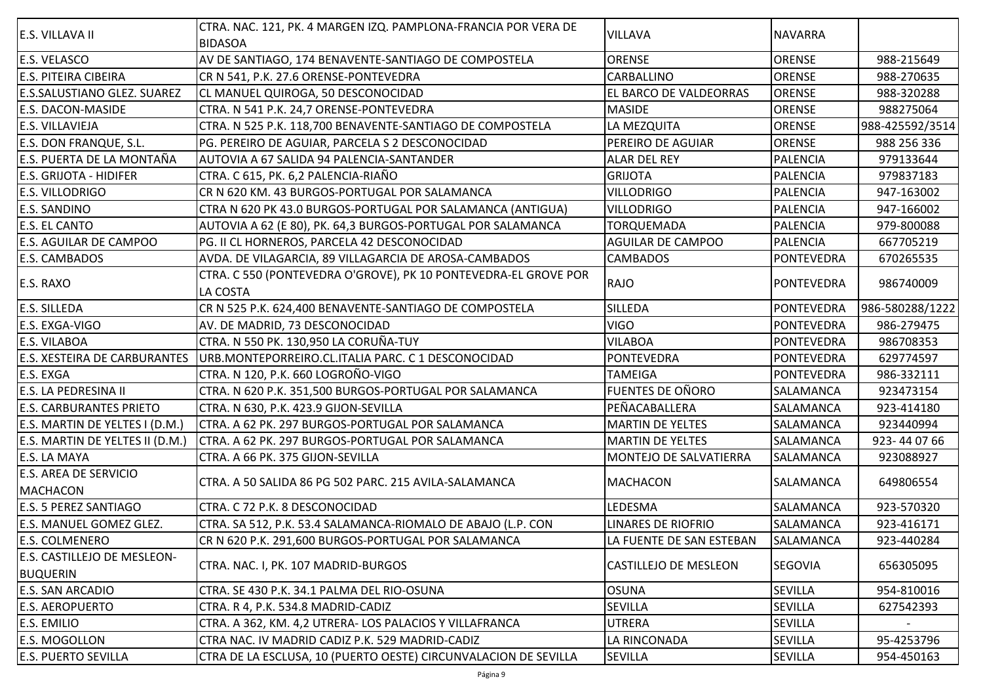| <b>E.S. VILLAVA II</b>              | CTRA. NAC. 121, PK. 4 MARGEN IZQ. PAMPLONA-FRANCIA POR VERA DE  |                              |                   |                 |
|-------------------------------------|-----------------------------------------------------------------|------------------------------|-------------------|-----------------|
|                                     | <b>BIDASOA</b>                                                  | <b>VILLAVA</b>               | <b>NAVARRA</b>    |                 |
| <b>E.S. VELASCO</b>                 | AV DE SANTIAGO, 174 BENAVENTE-SANTIAGO DE COMPOSTELA            | ORENSE                       | <b>ORENSE</b>     | 988-215649      |
| <b>E.S. PITEIRA CIBEIRA</b>         | CR N 541, P.K. 27.6 ORENSE-PONTEVEDRA                           | <b>CARBALLINO</b>            | <b>ORENSE</b>     | 988-270635      |
| <b>E.S.SALUSTIANO GLEZ. SUAREZ</b>  | CL MANUEL QUIROGA, 50 DESCONOCIDAD                              | EL BARCO DE VALDEORRAS       | <b>ORENSE</b>     | 988-320288      |
| <b>E.S. DACON-MASIDE</b>            | CTRA. N 541 P.K. 24,7 ORENSE-PONTEVEDRA                         | <b>MASIDE</b>                | <b>ORENSE</b>     | 988275064       |
| <b>E.S. VILLAVIEJA</b>              | CTRA. N 525 P.K. 118,700 BENAVENTE-SANTIAGO DE COMPOSTELA       | LA MEZQUITA                  | <b>ORENSE</b>     | 988-425592/3514 |
| <b>E.S. DON FRANQUE, S.L.</b>       | PG. PEREIRO DE AGUIAR, PARCELA S 2 DESCONOCIDAD                 | PEREIRO DE AGUIAR            | <b>ORENSE</b>     | 988 256 336     |
| E.S. PUERTA DE LA MONTAÑA           | AUTOVIA A 67 SALIDA 94 PALENCIA-SANTANDER                       | ALAR DEL REY                 | <b>PALENCIA</b>   | 979133644       |
| <b>E.S. GRIJOTA - HIDIFER</b>       | CTRA. C 615, PK. 6,2 PALENCIA-RIAÑO                             | <b>GRIJOTA</b>               | <b>PALENCIA</b>   | 979837183       |
| <b>E.S. VILLODRIGO</b>              | CR N 620 KM. 43 BURGOS-PORTUGAL POR SALAMANCA                   | <b>VILLODRIGO</b>            | <b>PALENCIA</b>   | 947-163002      |
| <b>E.S. SANDINO</b>                 | CTRA N 620 PK 43.0 BURGOS-PORTUGAL POR SALAMANCA (ANTIGUA)      | <b>VILLODRIGO</b>            | <b>PALENCIA</b>   | 947-166002      |
| <b>E.S. EL CANTO</b>                | AUTOVIA A 62 (E 80), PK. 64,3 BURGOS-PORTUGAL POR SALAMANCA     | TORQUEMADA                   | <b>PALENCIA</b>   | 979-800088      |
| <b>E.S. AGUILAR DE CAMPOO</b>       | PG. II CL HORNEROS, PARCELA 42 DESCONOCIDAD                     | <b>AGUILAR DE CAMPOO</b>     | <b>PALENCIA</b>   | 667705219       |
| <b>E.S. CAMBADOS</b>                | AVDA. DE VILAGARCIA, 89 VILLAGARCIA DE AROSA-CAMBADOS           | <b>CAMBADOS</b>              | <b>PONTEVEDRA</b> | 670265535       |
|                                     | CTRA. C 550 (PONTEVEDRA O'GROVE), PK 10 PONTEVEDRA-EL GROVE POR | RAJO                         |                   |                 |
| E.S. RAXO                           | <b>LA COSTA</b>                                                 |                              | <b>PONTEVEDRA</b> | 986740009       |
| <b>E.S. SILLEDA</b>                 | CR N 525 P.K. 624,400 BENAVENTE-SANTIAGO DE COMPOSTELA          | <b>SILLEDA</b>               | PONTEVEDRA        | 986-580288/1222 |
| E.S. EXGA-VIGO                      | AV. DE MADRID, 73 DESCONOCIDAD                                  | <b>VIGO</b>                  | <b>PONTEVEDRA</b> | 986-279475      |
| <b>E.S. VILABOA</b>                 | CTRA. N 550 PK. 130,950 LA CORUÑA-TUY                           | <b>VILABOA</b>               | <b>PONTEVEDRA</b> | 986708353       |
| <b>E.S. XESTEIRA DE CARBURANTES</b> | URB.MONTEPORREIRO.CL.ITALIA PARC. C 1 DESCONOCIDAD              | <b>PONTEVEDRA</b>            | <b>PONTEVEDRA</b> | 629774597       |
| <b>E.S. EXGA</b>                    | CTRA. N 120, P.K. 660 LOGROÑO-VIGO                              | <b>TAMEIGA</b>               | PONTEVEDRA        | 986-332111      |
| <b>E.S. LA PEDRESINA II</b>         | CTRA. N 620 P.K. 351,500 BURGOS-PORTUGAL POR SALAMANCA          | <b>FUENTES DE OÑORO</b>      | SALAMANCA         | 923473154       |
| <b>E.S. CARBURANTES PRIETO</b>      | CTRA. N 630, P.K. 423.9 GIJON-SEVILLA                           | PEÑACABALLERA                | SALAMANCA         | 923-414180      |
| E.S. MARTIN DE YELTES I (D.M.)      | CTRA. A 62 PK. 297 BURGOS-PORTUGAL POR SALAMANCA                | <b>MARTIN DE YELTES</b>      | SALAMANCA         | 923440994       |
| E.S. MARTIN DE YELTES II (D.M.)     | CTRA. A 62 PK. 297 BURGOS-PORTUGAL POR SALAMANCA                | <b>MARTIN DE YELTES</b>      | SALAMANCA         | 923-440766      |
| <b>E.S. LA MAYA</b>                 | CTRA. A 66 PK. 375 GIJON-SEVILLA                                | MONTEJO DE SALVATIERRA       | SALAMANCA         | 923088927       |
| <b>E.S. AREA DE SERVICIO</b>        |                                                                 |                              |                   |                 |
| <b>MACHACON</b>                     | CTRA. A 50 SALIDA 86 PG 502 PARC. 215 AVILA-SALAMANCA           | MACHACON                     | <b>SALAMANCA</b>  | 649806554       |
| <b>E.S. 5 PEREZ SANTIAGO</b>        | CTRA. C 72 P.K. 8 DESCONOCIDAD                                  | <b>LEDESMA</b>               | <b>SALAMANCA</b>  | 923-570320      |
| E.S. MANUEL GOMEZ GLEZ.             | CTRA. SA 512, P.K. 53.4 SALAMANCA-RIOMALO DE ABAJO (L.P. CON    | <b>LINARES DE RIOFRIO</b>    | SALAMANCA         | 923-416171      |
| <b>E.S. COLMENERO</b>               | CR N 620 P.K. 291,600 BURGOS-PORTUGAL POR SALAMANCA             | LA FUENTE DE SAN ESTEBAN     | SALAMANCA         | 923-440284      |
| <b>E.S. CASTILLEJO DE MESLEON-</b>  |                                                                 |                              |                   |                 |
| <b>BUQUERIN</b>                     | CTRA. NAC. I, PK. 107 MADRID-BURGOS                             | <b>CASTILLEJO DE MESLEON</b> | <b>SEGOVIA</b>    | 656305095       |
| <b>E.S. SAN ARCADIO</b>             | CTRA. SE 430 P.K. 34.1 PALMA DEL RIO-OSUNA                      | <b>OSUNA</b>                 | <b>SEVILLA</b>    | 954-810016      |
| <b>E.S. AEROPUERTO</b>              | CTRA. R 4, P.K. 534.8 MADRID-CADIZ                              | SEVILLA                      | <b>SEVILLA</b>    | 627542393       |
| E.S. EMILIO                         | CTRA. A 362, KM. 4,2 UTRERA- LOS PALACIOS Y VILLAFRANCA         | <b>UTRERA</b>                | <b>SEVILLA</b>    |                 |
| <b>E.S. MOGOLLON</b>                | CTRA NAC. IV MADRID CADIZ P.K. 529 MADRID-CADIZ                 | LA RINCONADA                 | <b>SEVILLA</b>    | 95-4253796      |
| <b>E.S. PUERTO SEVILLA</b>          | CTRA DE LA ESCLUSA, 10 (PUERTO OESTE) CIRCUNVALACION DE SEVILLA | SEVILLA                      | SEVILLA           | 954-450163      |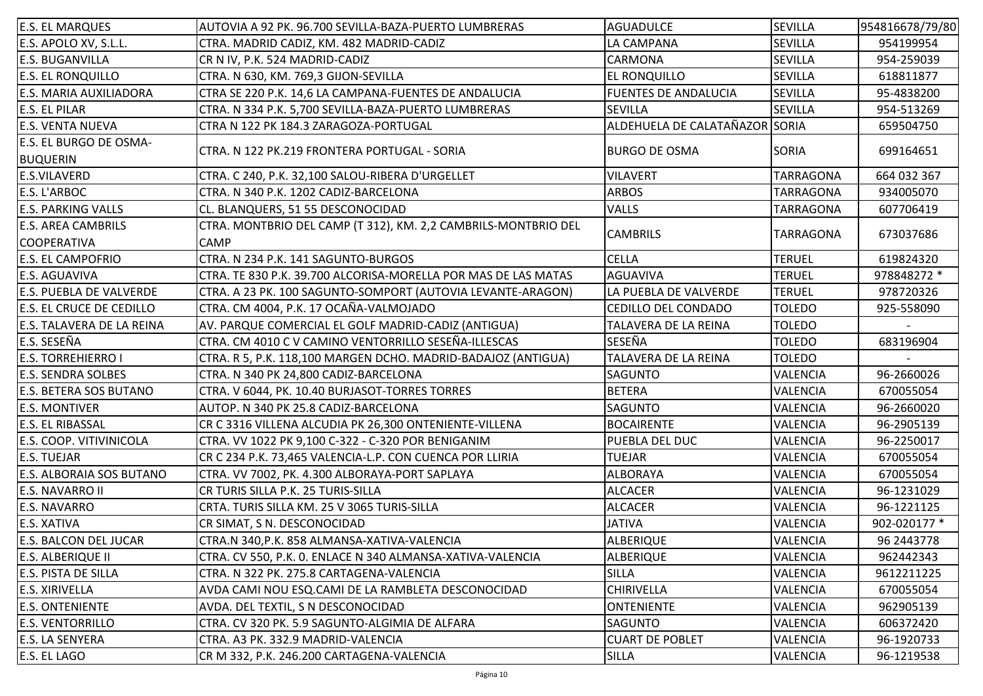| <b>E.S. EL MARQUES</b>          | AUTOVIA A 92 PK. 96.700 SEVILLA-BAZA-PUERTO LUMBRERAS          | <b>AGUADULCE</b>               | <b>SEVILLA</b>   | 954816678/79/80 |
|---------------------------------|----------------------------------------------------------------|--------------------------------|------------------|-----------------|
| E.S. APOLO XV, S.L.L.           | CTRA. MADRID CADIZ, KM. 482 MADRID-CADIZ                       | LA CAMPANA                     | <b>SEVILLA</b>   | 954199954       |
| <b>E.S. BUGANVILLA</b>          | CR N IV, P.K. 524 MADRID-CADIZ                                 | <b>CARMONA</b>                 | <b>SEVILLA</b>   | 954-259039      |
| <b>E.S. EL RONQUILLO</b>        | CTRA. N 630, KM. 769,3 GIJON-SEVILLA                           | <b>EL RONQUILLO</b>            | <b>SEVILLA</b>   | 618811877       |
| <b>E.S. MARIA AUXILIADORA</b>   | CTRA SE 220 P.K. 14,6 LA CAMPANA-FUENTES DE ANDALUCIA          | <b>FUENTES DE ANDALUCIA</b>    | <b>SEVILLA</b>   | 95-4838200      |
| <b>E.S. EL PILAR</b>            | CTRA. N 334 P.K. 5,700 SEVILLA-BAZA-PUERTO LUMBRERAS           | SEVILLA                        | <b>SEVILLA</b>   | 954-513269      |
| <b>E.S. VENTA NUEVA</b>         | CTRA N 122 PK 184.3 ZARAGOZA-PORTUGAL                          | ALDEHUELA DE CALATAÑAZOR SORIA |                  | 659504750       |
| E.S. EL BURGO DE OSMA-          | CTRA. N 122 PK.219 FRONTERA PORTUGAL - SORIA                   |                                | <b>SORIA</b>     |                 |
| <b>BUQUERIN</b>                 |                                                                | <b>BURGO DE OSMA</b>           |                  | 699164651       |
| <b>E.S.VILAVERD</b>             | CTRA. C 240, P.K. 32,100 SALOU-RIBERA D'URGELLET               | <b>VILAVERT</b>                | <b>TARRAGONA</b> | 664 032 367     |
| E.S. L'ARBOC                    | CTRA. N 340 P.K. 1202 CADIZ-BARCELONA                          | <b>ARBOS</b>                   | <b>TARRAGONA</b> | 934005070       |
| <b>E.S. PARKING VALLS</b>       | CL. BLANQUERS, 51 55 DESCONOCIDAD                              | <b>VALLS</b>                   | <b>TARRAGONA</b> | 607706419       |
| <b>E.S. AREA CAMBRILS</b>       | CTRA. MONTBRIO DEL CAMP (T 312), KM. 2,2 CAMBRILS-MONTBRIO DEL |                                |                  |                 |
| <b>COOPERATIVA</b>              | <b>CAMP</b>                                                    | <b>CAMBRILS</b>                | <b>TARRAGONA</b> | 673037686       |
| <b>E.S. EL CAMPOFRIO</b>        | CTRA. N 234 P.K. 141 SAGUNTO-BURGOS                            | <b>CELLA</b>                   | <b>TERUEL</b>    | 619824320       |
| <b>E.S. AGUAVIVA</b>            | CTRA. TE 830 P.K. 39.700 ALCORISA-MORELLA POR MAS DE LAS MATAS | <b>AGUAVIVA</b>                | <b>TERUEL</b>    | 978848272 *     |
| <b>E.S. PUEBLA DE VALVERDE</b>  | CTRA. A 23 PK. 100 SAGUNTO-SOMPORT (AUTOVIA LEVANTE-ARAGON)    | LA PUEBLA DE VALVERDE          | <b>TERUEL</b>    | 978720326       |
| <b>E.S. EL CRUCE DE CEDILLO</b> | CTRA. CM 4004, P.K. 17 OCAÑA-VALMOJADO                         | <b>CEDILLO DEL CONDADO</b>     | <b>TOLEDO</b>    | 925-558090      |
| E.S. TALAVERA DE LA REINA       | AV. PARQUE COMERCIAL EL GOLF MADRID-CADIZ (ANTIGUA)            | TALAVERA DE LA REINA           | <b>TOLEDO</b>    |                 |
| E.S. SESEÑA                     | CTRA. CM 4010 C V CAMINO VENTORRILLO SESEÑA-ILLESCAS           | SESEÑA                         | <b>TOLEDO</b>    | 683196904       |
| <b>E.S. TORREHIERRO I</b>       | CTRA. R 5, P.K. 118,100 MARGEN DCHO. MADRID-BADAJOZ (ANTIGUA)  | TALAVERA DE LA REINA           | <b>TOLEDO</b>    |                 |
| <b>E.S. SENDRA SOLBES</b>       | CTRA. N 340 PK 24,800 CADIZ-BARCELONA                          | <b>SAGUNTO</b>                 | <b>VALENCIA</b>  | 96-2660026      |
| <b>E.S. BETERA SOS BUTANO</b>   | CTRA. V 6044, PK. 10.40 BURJASOT-TORRES TORRES                 | <b>BETERA</b>                  | <b>VALENCIA</b>  | 670055054       |
| <b>E.S. MONTIVER</b>            | AUTOP. N 340 PK 25.8 CADIZ-BARCELONA                           | <b>SAGUNTO</b>                 | VALENCIA         | 96-2660020      |
| <b>E.S. EL RIBASSAL</b>         | CR C 3316 VILLENA ALCUDIA PK 26,300 ONTENIENTE-VILLENA         | <b>BOCAIRENTE</b>              | <b>VALENCIA</b>  | 96-2905139      |
| <b>E.S. COOP. VITIVINICOLA</b>  | CTRA. VV 1022 PK 9,100 C-322 - C-320 POR BENIGANIM             | PUEBLA DEL DUC                 | <b>VALENCIA</b>  | 96-2250017      |
| <b>E.S. TUEJAR</b>              | CR C 234 P.K. 73,465 VALENCIA-L.P. CON CUENCA POR LLIRIA       | <b>TUEJAR</b>                  | <b>VALENCIA</b>  | 670055054       |
| <b>E.S. ALBORAIA SOS BUTANO</b> | CTRA. VV 7002, PK. 4.300 ALBORAYA-PORT SAPLAYA                 | <b>ALBORAYA</b>                | VALENCIA         | 670055054       |
| <b>E.S. NAVARRO II</b>          | CR TURIS SILLA P.K. 25 TURIS-SILLA                             | <b>ALCACER</b>                 | <b>VALENCIA</b>  | 96-1231029      |
| <b>E.S. NAVARRO</b>             | CRTA. TURIS SILLA KM. 25 V 3065 TURIS-SILLA                    | <b>ALCACER</b>                 | <b>VALENCIA</b>  | 96-1221125      |
| <b>E.S. XATIVA</b>              | CR SIMAT, S N. DESCONOCIDAD                                    | <b>JATIVA</b>                  | <b>VALENCIA</b>  | 902-020177 *    |
| E.S. BALCON DEL JUCAR           | CTRA.N 340, P.K. 858 ALMANSA-XATIVA-VALENCIA                   | <b>ALBERIQUE</b>               | <b>VALENCIA</b>  | 96 2443778      |
| <b>E.S. ALBERIQUE II</b>        | CTRA. CV 550, P.K. O. ENLACE N 340 ALMANSA-XATIVA-VALENCIA     | ALBERIQUE                      | <b>VALENCIA</b>  | 962442343       |
| <b>E.S. PISTA DE SILLA</b>      | CTRA. N 322 PK. 275.8 CARTAGENA-VALENCIA                       | <b>SILLA</b>                   | VALENCIA         | 9612211225      |
| <b>E.S. XIRIVELLA</b>           | AVDA CAMI NOU ESQ.CAMI DE LA RAMBLETA DESCONOCIDAD             | CHIRIVELLA                     | VALENCIA         | 670055054       |
| <b>E.S. ONTENIENTE</b>          | AVDA. DEL TEXTIL, S N DESCONOCIDAD                             | <b>ONTENIENTE</b>              | VALENCIA         | 962905139       |
| <b>E.S. VENTORRILLO</b>         | CTRA. CV 320 PK. 5.9 SAGUNTO-ALGIMIA DE ALFARA                 | <b>SAGUNTO</b>                 | <b>VALENCIA</b>  | 606372420       |
| <b>E.S. LA SENYERA</b>          | CTRA. A3 PK. 332.9 MADRID-VALENCIA                             | <b>CUART DE POBLET</b>         | VALENCIA         | 96-1920733      |
| E.S. EL LAGO                    | CR M 332, P.K. 246.200 CARTAGENA-VALENCIA                      | <b>SILLA</b>                   | VALENCIA         | 96-1219538      |